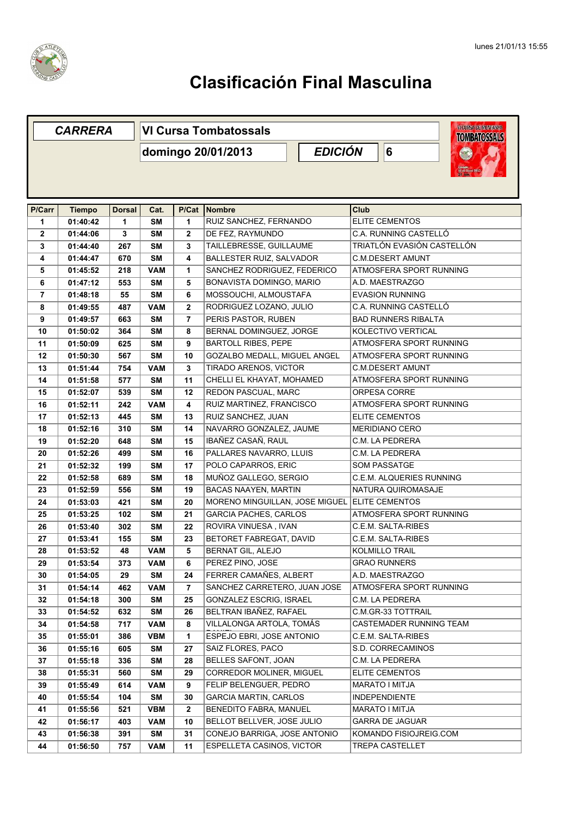

|              | <b>CARRERA</b>            |                    | <b>WICUREADEMUNTAMA</b><br><b>VI Cursa Tombatossals</b><br><b>TOMBATOSSALS</b> |              |                                     |  |             |                            |  |  |  |  |
|--------------|---------------------------|--------------------|--------------------------------------------------------------------------------|--------------|-------------------------------------|--|-------------|----------------------------|--|--|--|--|
|              |                           |                    | <b>EDICIÓN</b><br>domingo 20/01/2013                                           |              |                                     |  |             | 6                          |  |  |  |  |
|              |                           |                    |                                                                                |              |                                     |  |             |                            |  |  |  |  |
|              |                           |                    |                                                                                |              |                                     |  |             |                            |  |  |  |  |
| P/Carr<br>1  | <b>Tiempo</b><br>01:40:42 | <b>Dorsal</b><br>1 | Cat.<br><b>SM</b>                                                              | P/Cat<br>1   | Nombre<br>RUIZ SANCHEZ, FERNANDO    |  | <b>Club</b> | <b>ELITE CEMENTOS</b>      |  |  |  |  |
| $\mathbf{2}$ |                           | 3                  | <b>SM</b>                                                                      | $\mathbf{2}$ | DE FEZ, RAYMUNDO                    |  |             | C.A. RUNNING CASTELLÓ      |  |  |  |  |
| 3            | 01:44:06<br>01:44:40      | 267                | <b>SM</b>                                                                      | 3            | TAILLEBRESSE, GUILLAUME             |  |             | TRIATLÓN EVASIÓN CASTELLÓN |  |  |  |  |
| 4            | 01:44:47                  | 670                | <b>SM</b>                                                                      | 4            | <b>BALLESTER RUIZ, SALVADOR</b>     |  |             | <b>C.M.DESERT AMUNT</b>    |  |  |  |  |
| 5            | 01:45:52                  | 218                | <b>VAM</b>                                                                     | 1            | SANCHEZ RODRIGUEZ, FEDERICO         |  |             | ATMOSFERA SPORT RUNNING    |  |  |  |  |
| 6            | 01:47:12                  | 553                | <b>SM</b>                                                                      | 5            | BONAVISTA DOMINGO, MARIO            |  |             | A.D. MAESTRAZGO            |  |  |  |  |
| 7            | 01:48:18                  | 55                 | <b>SM</b>                                                                      | 6            | MOSSOUCHI, ALMOUSTAFA               |  |             | <b>EVASION RUNNING</b>     |  |  |  |  |
| 8            | 01:49:55                  | 487                | <b>VAM</b>                                                                     | 2            | RODRIGUEZ LOZANO, JULIO             |  |             | C.A. RUNNING CASTELLÓ      |  |  |  |  |
| 9            | 01:49:57                  | 663                | <b>SM</b>                                                                      | 7            | PERIS PASTOR, RUBEN                 |  |             | <b>BAD RUNNERS RIBALTA</b> |  |  |  |  |
| 10           | 01:50:02                  | 364                | <b>SM</b>                                                                      | 8            | BERNAL DOMINGUEZ, JORGE             |  |             | KOLECTIVO VERTICAL         |  |  |  |  |
| 11           | 01:50:09                  | 625                | <b>SM</b>                                                                      | 9            | <b>BARTOLL RIBES, PEPE</b>          |  |             | ATMOSFERA SPORT RUNNING    |  |  |  |  |
| 12           | 01:50:30                  | 567                | <b>SM</b>                                                                      | 10           | <b>GOZALBO MEDALL. MIGUEL ANGEL</b> |  |             | ATMOSFERA SPORT RUNNING    |  |  |  |  |
| 13           | 01:51:44                  | 754                | <b>VAM</b>                                                                     | 3            | TIRADO ARENOS, VICTOR               |  |             | <b>C.M.DESERT AMUNT</b>    |  |  |  |  |
| 14           | 01:51:58                  | 577                | SM                                                                             | 11           | CHELLI EL KHAYAT, MOHAMED           |  |             | ATMOSFERA SPORT RUNNING    |  |  |  |  |
| 15           | 01:52:07                  | 539                | <b>SM</b>                                                                      | 12           | REDON PASCUAL, MARC                 |  |             | ORPESA CORRE               |  |  |  |  |
| 16           | 01:52:11                  | 242                | <b>VAM</b>                                                                     | 4            | RUIZ MARTINEZ, FRANCISCO            |  |             | ATMOSFERA SPORT RUNNING    |  |  |  |  |
| 17           | 01:52:13                  | 445                | <b>SM</b>                                                                      | 13           | RUIZ SANCHEZ, JUAN                  |  |             | <b>ELITE CEMENTOS</b>      |  |  |  |  |
| 18           | 01:52:16                  | 310                | <b>SM</b>                                                                      | 14           | NAVARRO GONZALEZ, JAUME             |  |             | <b>MERIDIANO CERO</b>      |  |  |  |  |
| 19           | 01:52:20                  | 648                | <b>SM</b>                                                                      | 15           | IBAÑEZ CASAÑ, RAUL                  |  |             | C.M. LA PEDRERA            |  |  |  |  |
| 20           | 01:52:26                  | 499                | <b>SM</b>                                                                      | 16           | PALLARES NAVARRO, LLUIS             |  |             | C.M. LA PEDRERA            |  |  |  |  |
| 21           | 01:52:32                  | 199                | <b>SM</b>                                                                      | 17           | POLO CAPARROS, ERIC                 |  |             | <b>SOM PASSATGE</b>        |  |  |  |  |
| 22           | 01:52:58                  | 689                | <b>SM</b>                                                                      | 18           | MUÑOZ GALLEGO, SERGIO               |  |             | C.E.M. ALQUERIES RUNNING   |  |  |  |  |
| 23           | 01:52:59                  | 556                | <b>SM</b>                                                                      | 19           | BACAS NAAYEN, MARTIN                |  |             | NATURA QUIROMASAJE         |  |  |  |  |
| 24           | 01:53:03                  | 421                | <b>SM</b>                                                                      | 20           | MORENO MINGUILLAN, JOSE MIGUEL      |  |             | <b>ELITE CEMENTOS</b>      |  |  |  |  |
| 25           | 01:53:25                  | 102                | <b>SM</b>                                                                      | 21           | <b>GARCIA PACHES, CARLOS</b>        |  |             | ATMOSFERA SPORT RUNNING    |  |  |  |  |
| 26           | 01:53:40                  | 302                | <b>SM</b>                                                                      | 22           | ROVIRA VINUESA, IVAN                |  |             | C.E.M. SALTA-RIBES         |  |  |  |  |
| 27           | 01:53:41                  | 155                | <b>SM</b>                                                                      | 23           | BETORET FABREGAT, DAVID             |  |             | C.E.M. SALTA-RIBES         |  |  |  |  |
| 28           | 01:53:52                  | 48                 | <b>VAM</b>                                                                     | 5            | <b>BERNAT GIL, ALEJO</b>            |  |             | <b>KOLMILLO TRAIL</b>      |  |  |  |  |
| 29           | 01:53:54                  | 373                | VAM                                                                            | 6            | PEREZ PINO, JOSE                    |  |             | <b>GRAO RUNNERS</b>        |  |  |  |  |
| 30           | 01:54:05                  | 29                 | SM                                                                             | 24           | FERRER CAMAÑES, ALBERT              |  |             | A.D. MAESTRAZGO            |  |  |  |  |
| 31           | 01:54:14                  | 462                | VAM                                                                            | 7            | SANCHEZ CARRETERO, JUAN JOSE        |  |             | ATMOSFERA SPORT RUNNING    |  |  |  |  |
| 32           | 01:54:18                  | 300                | SM                                                                             | 25           | GONZALEZ ESCRIG, ISRAEL             |  |             | C.M. LA PEDRERA            |  |  |  |  |
| 33           | 01:54:52                  | 632                | SM                                                                             | 26           | BELTRAN IBAÑEZ, RAFAEL              |  |             | C.M.GR-33 TOTTRAIL         |  |  |  |  |
| 34           | 01:54:58                  | 717                | <b>VAM</b>                                                                     | 8            | VILLALONGA ARTOLA, TOMÁS            |  |             | CASTEMADER RUNNING TEAM    |  |  |  |  |
| 35           | 01:55:01                  | 386                | VBM                                                                            | 1            | ESPEJO EBRI, JOSE ANTONIO           |  |             | C.E.M. SALTA-RIBES         |  |  |  |  |
| 36           | 01:55:16                  | 605                | SM                                                                             | 27           | SAIZ FLORES, PACO                   |  |             | S.D. CORRECAMINOS          |  |  |  |  |
| 37           | 01:55:18                  | 336                | SM                                                                             | 28           | <b>BELLES SAFONT, JOAN</b>          |  |             | C.M. LA PEDRERA            |  |  |  |  |
| 38           | 01:55:31                  | 560                | SM                                                                             | 29           | CORREDOR MOLINER, MIGUEL            |  |             | <b>ELITE CEMENTOS</b>      |  |  |  |  |
| 39           | 01:55:49                  | 614                | <b>VAM</b>                                                                     | 9            | FELIP BELENGUER, PEDRO              |  |             | MARATO I MITJA             |  |  |  |  |
| 40           | 01:55:54                  | 104                | SM                                                                             | 30           | <b>GARCIA MARTIN, CARLOS</b>        |  |             | <b>INDEPENDIENTE</b>       |  |  |  |  |
| 41           | 01:55:56                  | 521                | <b>VBM</b>                                                                     | 2            | <b>BENEDITO FABRA, MANUEL</b>       |  |             | MARATO I MITJA             |  |  |  |  |
| 42           | 01:56:17                  | 403                | <b>VAM</b>                                                                     | 10           | BELLOT BELLVER, JOSE JULIO          |  |             | <b>GARRA DE JAGUAR</b>     |  |  |  |  |
| 43           | 01:56:38                  | 391                | SM                                                                             | 31           | CONEJO BARRIGA, JOSE ANTONIO        |  |             | KOMANDO FISIOJREIG.COM     |  |  |  |  |
| 44           | 01:56:50                  | 757                | <b>VAM</b>                                                                     | 11           | <b>ESPELLETA CASINOS, VICTOR</b>    |  |             | <b>TREPA CASTELLET</b>     |  |  |  |  |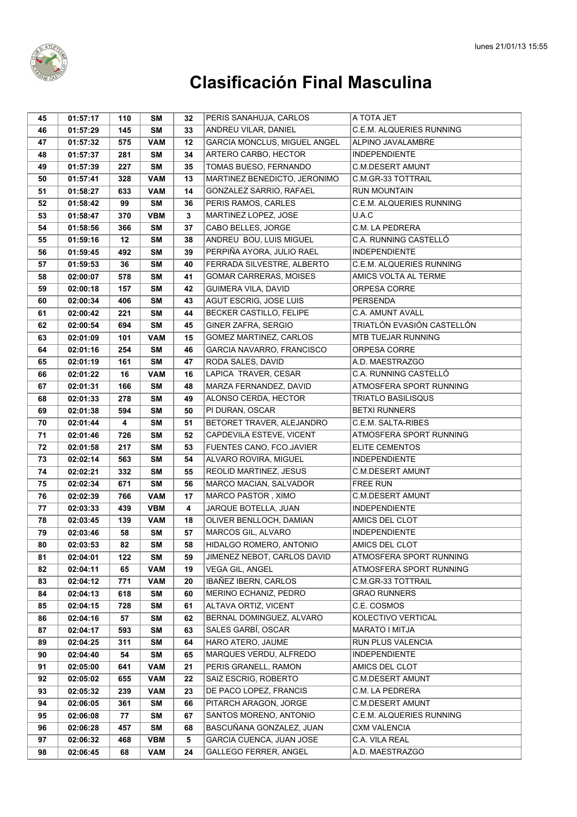

| 45 | 01:57:17 | 110 | SΜ         | 32 | PERIS SANAHUJA, CARLOS        | A TOTA JET                 |
|----|----------|-----|------------|----|-------------------------------|----------------------------|
| 46 | 01:57:29 | 145 | <b>SM</b>  | 33 | ANDREU VILAR, DANIEL          | C.E.M. ALQUERIES RUNNING   |
| 47 | 01:57:32 | 575 | <b>VAM</b> | 12 | GARCIA MONCLUS, MIGUEL ANGEL  | ALPINO JAVALAMBRE          |
| 48 | 01:57:37 | 281 | <b>SM</b>  | 34 | ARTERO CARBO, HECTOR          | <b>INDEPENDIENTE</b>       |
| 49 | 01:57:39 | 227 | <b>SM</b>  | 35 | TOMAS BUESO, FERNANDO         | <b>C.M.DESERT AMUNT</b>    |
| 50 | 01:57:41 | 328 | <b>VAM</b> | 13 | MARTINEZ BENEDICTO, JERONIMO  | C.M.GR-33 TOTTRAIL         |
| 51 | 01:58:27 | 633 | <b>VAM</b> | 14 | GONZALEZ SARRIO, RAFAEL       | <b>RUN MOUNTAIN</b>        |
| 52 | 01:58:42 | 99  | <b>SM</b>  | 36 | PERIS RAMOS, CARLES           | C.E.M. ALQUERIES RUNNING   |
| 53 | 01:58:47 | 370 | <b>VBM</b> | 3  | MARTINEZ LOPEZ, JOSE          | U.A.C                      |
| 54 | 01:58:56 | 366 | <b>SM</b>  | 37 | CABO BELLES, JORGE            | C.M. LA PEDRERA            |
| 55 | 01:59:16 | 12  | <b>SM</b>  | 38 | ANDREU BOU, LUIS MIGUEL       | C.A. RUNNING CASTELLÓ      |
| 56 | 01:59:45 | 492 | <b>SM</b>  | 39 | PERPIÑA AYORA, JULIO RAEL     | <b>INDEPENDIENTE</b>       |
| 57 | 01:59:53 | 36  | SΜ         | 40 | FERRADA SILVESTRE, ALBERTO    | C.E.M. ALQUERIES RUNNING   |
| 58 | 02:00:07 | 578 | SΜ         | 41 | <b>GOMAR CARRERAS, MOISES</b> | AMICS VOLTA AL TERME       |
| 59 | 02:00:18 | 157 | <b>SM</b>  | 42 | GUIMERA VILA, DAVID           | ORPESA CORRE               |
| 60 | 02:00:34 | 406 | <b>SM</b>  | 43 | AGUT ESCRIG, JOSE LUIS        | PERSENDA                   |
| 61 | 02:00:42 | 221 | <b>SM</b>  | 44 | BECKER CASTILLO, FELIPE       | <b>C.A. AMUNT AVALL</b>    |
| 62 | 02:00:54 | 694 | <b>SM</b>  | 45 | GINER ZAFRA, SERGIO           | TRIATLÓN EVASIÓN CASTELLÓN |
| 63 | 02:01:09 | 101 | <b>VAM</b> | 15 | GOMEZ MARTINEZ, CARLOS        | MTB TUEJAR RUNNING         |
| 64 | 02:01:16 | 254 | <b>SM</b>  | 46 | GARCIA NAVARRO, FRANCISCO     | ORPESA CORRE               |
| 65 | 02:01:19 | 161 | <b>SM</b>  | 47 | RODA SALES, DAVID             | A.D. MAESTRAZGO            |
| 66 | 02:01:22 | 16  | <b>VAM</b> | 16 | LAPICA TRAVER, CESAR          | C.A. RUNNING CASTELLÓ      |
| 67 | 02:01:31 | 166 | <b>SM</b>  | 48 | MARZA FERNANDEZ. DAVID        | ATMOSFERA SPORT RUNNING    |
| 68 | 02:01:33 | 278 | <b>SM</b>  | 49 | ALONSO CERDA, HECTOR          | <b>TRIATLO BASILISQUS</b>  |
| 69 | 02:01:38 | 594 | <b>SM</b>  | 50 | PI DURAN, OSCAR               | <b>BETXI RUNNERS</b>       |
| 70 | 02:01:44 | 4   | <b>SM</b>  | 51 | BETORET TRAVER, ALEJANDRO     | C.E.M. SALTA-RIBES         |
| 71 | 02:01:46 | 726 | <b>SM</b>  | 52 | CAPDEVILA ESTEVE, VICENT      | ATMOSFERA SPORT RUNNING    |
| 72 | 02:01:58 | 217 | <b>SM</b>  | 53 | FUENTES CANO, FCO.JAVIER      | <b>ELITE CEMENTOS</b>      |
| 73 | 02:02:14 | 563 | <b>SM</b>  | 54 | ALVARO ROVIRA, MIGUEL         | <b>INDEPENDIENTE</b>       |
| 74 | 02:02:21 | 332 | <b>SM</b>  | 55 | REOLID MARTINEZ, JESUS        | C.M.DESERT AMUNT           |
| 75 | 02:02:34 | 671 | <b>SM</b>  | 56 | MARCO MACIAN, SALVADOR        | <b>FREE RUN</b>            |
| 76 | 02:02:39 | 766 | <b>VAM</b> | 17 | MARCO PASTOR, XIMO            | <b>C.M.DESERT AMUNT</b>    |
| 77 | 02:03:33 | 439 | <b>VBM</b> | 4  | JARQUE BOTELLA, JUAN          | <b>INDEPENDIENTE</b>       |
| 78 | 02:03:45 | 139 | <b>VAM</b> | 18 | OLIVER BENLLOCH, DAMIAN       | AMICS DEL CLOT             |
| 79 | 02:03:46 | 58  | <b>SM</b>  | 57 | MARCOS GIL, ALVARO            | <b>INDEPENDIENTE</b>       |
| 80 | 02:03:53 | 82  | <b>SM</b>  | 58 | HIDALGO ROMERO, ANTONIO       | AMICS DEL CLOT             |
| 81 | 02:04:01 | 122 | <b>SM</b>  | 59 | JIMENEZ NEBOT, CARLOS DAVID   | ATMOSFERA SPORT RUNNING    |
| 82 | 02:04:11 | 65  | <b>VAM</b> | 19 | VEGA GIL, ANGEL               | ATMOSFERA SPORT RUNNING    |
| 83 | 02:04:12 | 771 | <b>VAM</b> | 20 | IBAÑEZ IBERN, CARLOS          | C.M.GR-33 TOTTRAIL         |
| 84 | 02:04:13 | 618 | <b>SM</b>  | 60 | MERINO ECHANIZ, PEDRO         | <b>GRAO RUNNERS</b>        |
| 85 | 02:04:15 | 728 | <b>SM</b>  | 61 | ALTAVA ORTIZ, VICENT          | C.E. COSMOS                |
| 86 | 02:04:16 | 57  | <b>SM</b>  | 62 | BERNAL DOMINGUEZ, ALVARO      | KOLECTIVO VERTICAL         |
| 87 | 02:04:17 | 593 | <b>SM</b>  | 63 | SALES GARBÍ, OSCAR            | MARATO I MITJA             |
| 89 | 02:04:25 | 311 | <b>SM</b>  | 64 | HARO ATERO, JAUME             | RUN PLUS VALENCIA          |
| 90 | 02:04:40 | 54  | SΜ         | 65 | MARQUES VERDU, ALFREDO        | <b>INDEPENDIENTE</b>       |
| 91 | 02:05:00 | 641 | <b>VAM</b> | 21 | PERIS GRANELL. RAMON          | AMICS DEL CLOT             |
| 92 | 02:05:02 | 655 | <b>VAM</b> | 22 | SAIZ ESCRIG, ROBERTO          | C.M.DESERT AMUNT           |
| 93 | 02:05:32 | 239 | <b>VAM</b> | 23 | DE PACO LOPEZ, FRANCIS        | C.M. LA PEDRERA            |
| 94 | 02:06:05 | 361 | <b>SM</b>  | 66 | PITARCH ARAGON, JORGE         | <b>C.M.DESERT AMUNT</b>    |
| 95 | 02:06:08 | 77  | SΜ         | 67 | SANTOS MORENO, ANTONIO        | C.E.M. ALQUERIES RUNNING   |
| 96 | 02:06:28 | 457 | <b>SM</b>  | 68 | BASCUÑANA GONZALEZ, JUAN      | <b>CXM VALENCIA</b>        |
| 97 | 02:06:32 | 468 | <b>VBM</b> | 5  | GARCIA CUENCA, JUAN JOSE      | C.A. VILA REAL             |
| 98 | 02:06:45 | 68  | <b>VAM</b> | 24 | <b>GALLEGO FERRER, ANGEL</b>  | A.D. MAESTRAZGO            |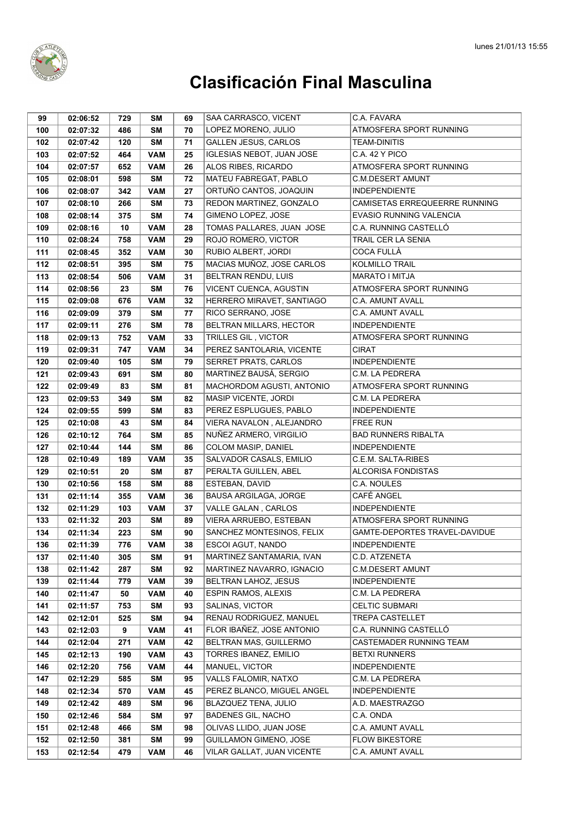

| 99  | 02:06:52 | 729 | SM         | 69 | SAA CARRASCO, VICENT             | C.A. FAVARA                   |
|-----|----------|-----|------------|----|----------------------------------|-------------------------------|
| 100 | 02:07:32 | 486 | <b>SM</b>  | 70 | LOPEZ MORENO, JULIO              | ATMOSFERA SPORT RUNNING       |
| 102 | 02:07:42 | 120 | <b>SM</b>  | 71 | <b>GALLEN JESUS, CARLOS</b>      | <b>TEAM-DINITIS</b>           |
| 103 | 02:07:52 | 464 | <b>VAM</b> | 25 | <b>IGLESIAS NEBOT, JUAN JOSE</b> | C.A. 42 Y PICO                |
| 104 | 02:07:57 | 652 | <b>VAM</b> | 26 | ALOS RIBES, RICARDO              | ATMOSFERA SPORT RUNNING       |
| 105 | 02:08:01 | 598 | <b>SM</b>  | 72 | MATEU FABREGAT, PABLO            | <b>C.M.DESERT AMUNT</b>       |
| 106 | 02:08:07 | 342 | <b>VAM</b> | 27 | ORTUÑO CANTOS, JOAQUIN           | <b>INDEPENDIENTE</b>          |
| 107 | 02:08:10 | 266 | <b>SM</b>  | 73 | REDON MARTINEZ, GONZALO          | CAMISETAS ERREQUEERRE RUNNING |
| 108 | 02:08:14 | 375 | <b>SM</b>  | 74 | GIMENO LOPEZ, JOSE               | EVASIO RUNNING VALENCIA       |
| 109 | 02:08:16 | 10  | <b>VAM</b> | 28 | TOMAS PALLARES, JUAN JOSE        | C.A. RUNNING CASTELLÓ         |
| 110 | 02:08:24 | 758 | <b>VAM</b> | 29 | ROJO ROMERO, VICTOR              | TRAIL CER LA SENIA            |
| 111 | 02:08:45 | 352 | <b>VAM</b> | 30 | RUBIO ALBERT, JORDI              | <b>COCA FULLÀ</b>             |
| 112 | 02:08:51 | 395 | <b>SM</b>  | 75 | MACIAS MUÑOZ, JOSE CARLOS        | <b>KOLMILLO TRAIL</b>         |
| 113 | 02:08:54 | 506 | <b>VAM</b> | 31 | BELTRAN RENDU, LUIS              | MARATO I MITJA                |
| 114 | 02:08:56 | 23  | <b>SM</b>  | 76 | VICENT CUENCA, AGUSTIN           | ATMOSFERA SPORT RUNNING       |
| 115 | 02:09:08 | 676 | <b>VAM</b> | 32 | HERRERO MIRAVET, SANTIAGO        | <b>C.A. AMUNT AVALL</b>       |
| 116 | 02:09:09 | 379 | <b>SM</b>  | 77 | RICO SERRANO, JOSE               | <b>C.A. AMUNT AVALL</b>       |
| 117 | 02:09:11 | 276 | <b>SM</b>  | 78 | BELTRAN MILLARS, HECTOR          | <b>INDEPENDIENTE</b>          |
| 118 | 02:09:13 | 752 | <b>VAM</b> | 33 | TRILLES GIL, VICTOR              | ATMOSFERA SPORT RUNNING       |
| 119 | 02:09:31 | 747 | <b>VAM</b> | 34 | PEREZ SANTOLARIA, VICENTE        | <b>CIRAT</b>                  |
| 120 | 02:09:40 | 105 | <b>SM</b>  | 79 | SERRET PRATS, CARLOS             | <b>INDEPENDIENTE</b>          |
| 121 | 02:09:43 | 691 | <b>SM</b>  | 80 | MARTINEZ BAUSÁ, SERGIO           | C.M. LA PEDRERA               |
| 122 | 02:09:49 | 83  | <b>SM</b>  | 81 | <b>MACHORDOM AGUSTI. ANTONIO</b> | ATMOSFERA SPORT RUNNING       |
| 123 | 02:09:53 | 349 | <b>SM</b>  | 82 | MASIP VICENTE, JORDI             | C.M. LA PEDRERA               |
| 124 | 02:09:55 | 599 | <b>SM</b>  | 83 | PEREZ ESPLUGUES, PABLO           | <b>INDEPENDIENTE</b>          |
| 125 | 02:10:08 | 43  | <b>SM</b>  | 84 | VIERA NAVALON, ALEJANDRO         | <b>FREE RUN</b>               |
| 126 | 02:10:12 | 764 | <b>SM</b>  | 85 | NUÑEZ ARMERO, VIRGILIO           | <b>BAD RUNNERS RIBALTA</b>    |
| 127 | 02:10:44 | 144 | <b>SM</b>  | 86 | COLOM MASIP, DANIEL              | <b>INDEPENDIENTE</b>          |
| 128 | 02:10:49 | 189 | <b>VAM</b> | 35 | SALVADOR CASALS, EMILIO          | C.E.M. SALTA-RIBES            |
| 129 | 02:10:51 | 20  | <b>SM</b>  | 87 | PERALTA GUILLEN, ABEL            | ALCORISA FONDISTAS            |
| 130 | 02:10:56 | 158 | <b>SM</b>  | 88 | ESTEBAN, DAVID                   | C.A. NOULES                   |
| 131 | 02:11:14 | 355 | <b>VAM</b> | 36 | BAUSA ARGILAGA, JORGE            | CAFÉ ANGEL                    |
| 132 | 02:11:29 | 103 | <b>VAM</b> | 37 | VALLE GALAN, CARLOS              | <b>INDEPENDIENTE</b>          |
| 133 | 02:11:32 | 203 | <b>SM</b>  | 89 | VIERA ARRUEBO, ESTEBAN           | ATMOSFERA SPORT RUNNING       |
| 134 | 02:11:34 | 223 | <b>SM</b>  | 90 | SANCHEZ MONTESINOS, FELIX        | GAMTE-DEPORTES TRAVEL-DAVIDUE |
| 136 | 02:11:39 | 776 | <b>VAM</b> | 38 | <b>ESCOI AGUT. NANDO</b>         | <b>INDEPENDIENTE</b>          |
| 137 | 02:11:40 | 305 | SM         | 91 | MARTINEZ SANTAMARIA, IVAN        | C.D. ATZENETA                 |
| 138 | 02:11:42 | 287 | SM         | 92 | MARTINEZ NAVARRO, IGNACIO        | <b>C.M.DESERT AMUNT</b>       |
| 139 | 02:11:44 | 779 | <b>VAM</b> | 39 | <b>BELTRAN LAHOZ, JESUS</b>      | <b>INDEPENDIENTE</b>          |
| 140 | 02:11:47 | 50  | <b>VAM</b> | 40 | <b>ESPIN RAMOS, ALEXIS</b>       | C.M. LA PEDRERA               |
| 141 | 02:11:57 | 753 | SM         | 93 | SALINAS, VICTOR                  | <b>CELTIC SUBMARI</b>         |
| 142 | 02:12:01 | 525 | SM         | 94 | RENAU RODRIGUEZ, MANUEL          | <b>TREPA CASTELLET</b>        |
| 143 | 02:12:03 | 9   | <b>VAM</b> | 41 | FLOR IBAÑEZ, JOSE ANTONIO        | C.A. RUNNING CASTELLÓ         |
| 144 | 02:12:04 | 271 | <b>VAM</b> | 42 | BELTRAN MAS, GUILLERMO           | CASTEMADER RUNNING TEAM       |
| 145 | 02:12:13 | 190 | <b>VAM</b> | 43 | TORRES IBANEZ, EMILIO            | BETXI RUNNERS                 |
| 146 | 02:12:20 | 756 | <b>VAM</b> | 44 | MANUEL, VICTOR                   | <b>INDEPENDIENTE</b>          |
| 147 | 02:12:29 | 585 | SM         | 95 | VALLS FALOMIR, NATXO             | C.M. LA PEDRERA               |
| 148 | 02:12:34 | 570 | <b>VAM</b> | 45 | PEREZ BLANCO, MIGUEL ANGEL       | <b>INDEPENDIENTE</b>          |
| 149 | 02:12:42 | 489 | SM         | 96 | BLAZQUEZ TENA, JULIO             | A.D. MAESTRAZGO               |
| 150 | 02:12:46 | 584 | SM         | 97 | <b>BADENES GIL, NACHO</b>        | C.A. ONDA                     |
| 151 | 02:12:48 | 466 | SM         | 98 | OLIVAS LLIDO, JUAN JOSE          | C.A. AMUNT AVALL              |
| 152 | 02:12:50 | 381 | SM         | 99 | GUILLAMON GIMENO, JOSE           | <b>FLOW BIKESTORE</b>         |
| 153 | 02:12:54 | 479 | <b>VAM</b> | 46 | VILAR GALLAT, JUAN VICENTE       | C.A. AMUNT AVALL              |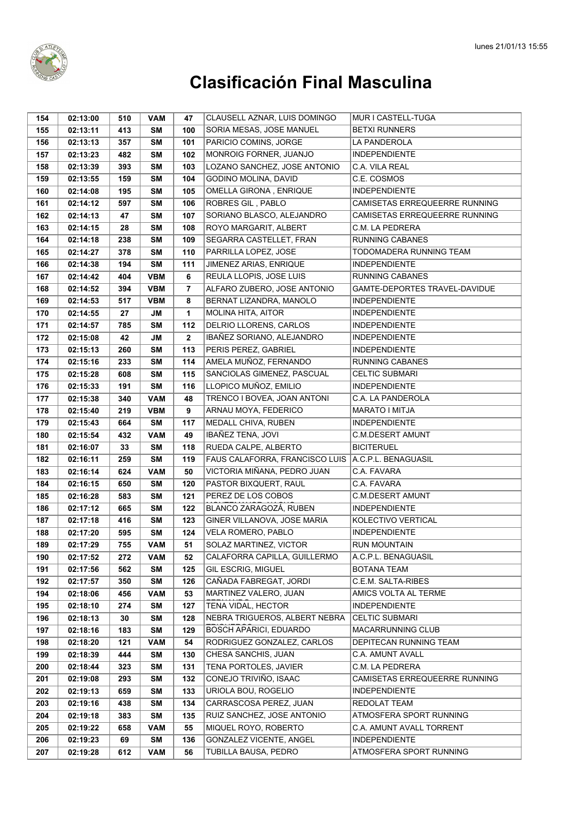

| 154 | 02:13:00 | 510 | <b>VAM</b> | 47          | CLAUSELL AZNAR, LUIS DOMINGO   | MUR I CASTELL-TUGA            |
|-----|----------|-----|------------|-------------|--------------------------------|-------------------------------|
| 155 | 02:13:11 | 413 | SM         | 100         | SORIA MESAS, JOSE MANUEL       | <b>BETXI RUNNERS</b>          |
| 156 | 02:13:13 | 357 | <b>SM</b>  | 101         | PARICIO COMINS, JORGE          | LA PANDEROLA                  |
| 157 | 02:13:23 | 482 | <b>SM</b>  | 102         | MONROIG FORNER, JUANJO         | <b>INDEPENDIENTE</b>          |
| 158 | 02:13:39 | 393 | <b>SM</b>  | 103         | LOZANO SANCHEZ, JOSE ANTONIO   | C.A. VILA REAL                |
| 159 | 02:13:55 | 159 | <b>SM</b>  | 104         | GODINO MOLINA, DAVID           | C.E. COSMOS                   |
| 160 | 02:14:08 | 195 | <b>SM</b>  | 105         | OMELLA GIRONA, ENRIQUE         | <b>INDEPENDIENTE</b>          |
| 161 | 02:14:12 | 597 | <b>SM</b>  | 106         | ROBRES GIL, PABLO              | CAMISETAS ERREQUEERRE RUNNING |
| 162 | 02:14:13 | 47  | <b>SM</b>  | 107         | SORIANO BLASCO, ALEJANDRO      | CAMISETAS ERREQUEERRE RUNNING |
| 163 | 02:14:15 | 28  | <b>SM</b>  | 108         | ROYO MARGARIT, ALBERT          | C.M. LA PEDRERA               |
| 164 | 02:14:18 | 238 | <b>SM</b>  | 109         | SEGARRA CASTELLET, FRAN        | <b>RUNNING CABANES</b>        |
| 165 | 02:14:27 | 378 | <b>SM</b>  | 110         | PARRILLA LOPEZ, JOSE           | TODOMADERA RUNNING TEAM       |
| 166 | 02:14:38 | 194 | <b>SM</b>  | 111         | JIMENEZ ARIAS, ENRIQUE         | <b>INDEPENDIENTE</b>          |
| 167 | 02:14:42 | 404 | <b>VBM</b> | 6           | REULA LLOPIS, JOSE LUIS        | RUNNING CABANES               |
| 168 | 02:14:52 | 394 | <b>VBM</b> | 7           | ALFARO ZUBERO, JOSE ANTONIO    | GAMTE-DEPORTES TRAVEL-DAVIDUE |
| 169 | 02:14:53 | 517 | <b>VBM</b> | 8           | BERNAT LIZANDRA, MANOLO        | <b>INDEPENDIENTE</b>          |
| 170 | 02:14:55 | 27  | JM         | 1           | <b>MOLINA HITA, AITOR</b>      | <b>INDEPENDIENTE</b>          |
| 171 | 02:14:57 | 785 | <b>SM</b>  | 112         | DELRIO LLORENS, CARLOS         | <b>INDEPENDIENTE</b>          |
| 172 | 02:15:08 | 42  | <b>JM</b>  | $\mathbf 2$ | IBAÑEZ SORIANO, ALEJANDRO      | <b>INDEPENDIENTE</b>          |
| 173 | 02:15:13 | 260 | <b>SM</b>  | 113         | PERIS PEREZ, GABRIEL           | <b>INDEPENDIENTE</b>          |
| 174 | 02:15:16 | 233 | <b>SM</b>  | 114         | AMELA MUÑOZ, FERNANDO          | <b>RUNNING CABANES</b>        |
| 175 | 02:15:28 | 608 | <b>SM</b>  | 115         | SANCIOLAS GIMENEZ, PASCUAL     | <b>CELTIC SUBMARI</b>         |
| 176 | 02:15:33 | 191 | <b>SM</b>  | 116         | LLOPICO MUÑOZ, EMILIO          | <b>INDEPENDIENTE</b>          |
| 177 | 02:15:38 | 340 | <b>VAM</b> | 48          | TRENCO I BOVEA, JOAN ANTONI    | C.A. LA PANDEROLA             |
| 178 | 02:15:40 | 219 | <b>VBM</b> | 9           | ARNAU MOYA, FEDERICO           | MARATO I MITJA                |
| 179 | 02:15:43 | 664 | <b>SM</b>  | 117         | MEDALL CHIVA, RUBEN            | <b>INDEPENDIENTE</b>          |
| 180 | 02:15:54 | 432 | <b>VAM</b> | 49          | IBAÑEZ TENA, JOVI              | <b>C.M.DESERT AMUNT</b>       |
| 181 | 02:16:07 | 33  | <b>SM</b>  | 118         | RUEDA CALPE, ALBERTO           | <b>BICITERUEL</b>             |
| 182 | 02:16:11 | 259 | <b>SM</b>  | 119         | FAUS CALAFORRA, FRANCISCO LUIS | A.C.P.L. BENAGUASIL           |
| 183 | 02:16:14 | 624 | <b>VAM</b> | 50          | VICTORIA MIÑANA, PEDRO JUAN    | C.A. FAVARA                   |
| 184 | 02:16:15 | 650 | <b>SM</b>  | 120         | PASTOR BIXQUERT, RAUL          | C.A. FAVARA                   |
| 185 | 02:16:28 | 583 | <b>SM</b>  | 121         | PEREZ DE LOS COBOS             | C.M.DESERT AMUNT              |
| 186 | 02:17:12 | 665 | SΜ         | 122         | BLANCO ZARAGOZÁ, RUBEN         | <b>INDEPENDIENTE</b>          |
| 187 | 02:17:18 | 416 | <b>SM</b>  | 123         | GINER VILLANOVA, JOSE MARIA    | KOLECTIVO VERTICAL            |
| 188 | 02:17:20 | 595 | <b>SM</b>  | 124         | VELA ROMERO, PABLO             | <b>INDEPENDIENTE</b>          |
| 189 | 02:17:29 | 755 | <b>VAM</b> | 51          | SOLAZ MARTINEZ, VICTOR         | <b>RUN MOUNTAIN</b>           |
| 190 | 02:17:52 | 272 | <b>VAM</b> | 52          | CALAFORRA CAPILLA, GUILLERMO   | A.C.P.L. BENAGUASIL           |
| 191 | 02:17:56 | 562 | SM         | 125         | <b>GIL ESCRIG, MIGUEL</b>      | <b>BOTANA TEAM</b>            |
| 192 | 02:17:57 | 350 | <b>SM</b>  | 126         | CAÑADA FABREGAT, JORDI         | C.E.M. SALTA-RIBES            |
| 194 | 02:18:06 | 456 | <b>VAM</b> | 53          | MARTINEZ VALERO, JUAN          | AMICS VOLTA AL TERME          |
| 195 | 02:18:10 | 274 | <b>SM</b>  | 127         | TENA VIDAL, HECTOR             | <b>INDEPENDIENTE</b>          |
| 196 | 02:18:13 | 30  | SM         | 128         | NEBRA TRIGUEROS, ALBERT NEBRA  | <b>CELTIC SUBMARI</b>         |
| 197 | 02:18:16 | 183 | SM         | 129         | <b>BOSCH APARICI, EDUARDO</b>  | MACARRUNNING CLUB             |
| 198 | 02:18:20 | 121 | <b>VAM</b> | 54          | RODRIGUEZ GONZALEZ, CARLOS     | DEPITECAN RUNNING TEAM        |
| 199 | 02:18:39 | 444 | <b>SM</b>  | 130         | CHESA SANCHIS, JUAN            | C.A. AMUNT AVALL              |
| 200 | 02:18:44 | 323 | <b>SM</b>  | 131         | <b>TENA PORTOLES, JAVIER</b>   | C.M. LA PEDRERA               |
| 201 | 02:19:08 | 293 | <b>SM</b>  | 132         | CONEJO TRIVIÑO, ISAAC          | CAMISETAS ERREQUEERRE RUNNING |
| 202 | 02:19:13 | 659 | <b>SM</b>  | 133         | URIOLA BOU, ROGELIO            | <b>INDEPENDIENTE</b>          |
| 203 | 02:19:16 | 438 | <b>SM</b>  | 134         | CARRASCOSA PEREZ, JUAN         | REDOLAT TEAM                  |
| 204 | 02:19:18 | 383 | SM         | 135         | RUIZ SANCHEZ, JOSE ANTONIO     | ATMOSFERA SPORT RUNNING       |
| 205 | 02:19:22 | 658 | <b>VAM</b> | 55          | MIQUEL ROYO, ROBERTO           | C.A. AMUNT AVALL TORRENT      |
| 206 | 02:19:23 | 69  | <b>SM</b>  | 136         | GONZALEZ VICENTE, ANGEL        | <b>INDEPENDIENTE</b>          |
| 207 | 02:19:28 | 612 | <b>VAM</b> | 56          | TUBILLA BAUSA, PEDRO           | ATMOSFERA SPORT RUNNING       |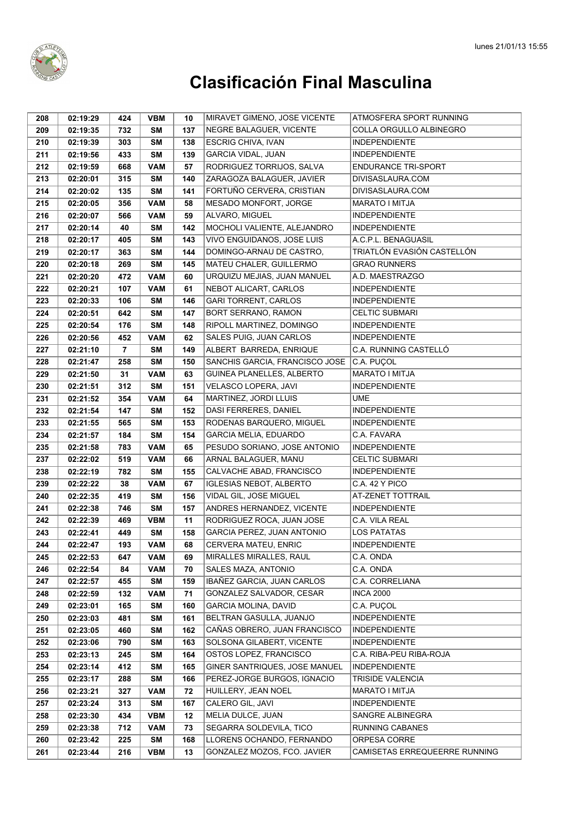

| 208 | 02:19:29 | 424 | <b>VBM</b> | 10  | MIRAVET GIMENO, JOSE VICENTE   | ATMOSFERA SPORT RUNNING       |
|-----|----------|-----|------------|-----|--------------------------------|-------------------------------|
| 209 | 02:19:35 | 732 | SΜ         | 137 | NEGRE BALAGUER, VICENTE        | COLLA ORGULLO ALBINEGRO       |
| 210 | 02:19:39 | 303 | <b>SM</b>  | 138 | <b>ESCRIG CHIVA, IVAN</b>      | <b>INDEPENDIENTE</b>          |
| 211 | 02:19:56 | 433 | <b>SM</b>  | 139 | <b>GARCIA VIDAL, JUAN</b>      | <b>INDEPENDIENTE</b>          |
| 212 | 02:19:59 | 668 | <b>VAM</b> | 57  | RODRIGUEZ TORRIJOS, SALVA      | <b>ENDURANCE TRI-SPORT</b>    |
| 213 | 02:20:01 | 315 | SΜ         | 140 | ZARAGOZA BALAGUER, JAVIER      | DIVISASLAURA.COM              |
| 214 | 02:20:02 | 135 | <b>SM</b>  | 141 | FORTUÑO CERVERA, CRISTIAN      | DIVISASLAURA.COM              |
| 215 | 02:20:05 | 356 | <b>VAM</b> | 58  | MESADO MONFORT, JORGE          | <b>MARATO I MITJA</b>         |
| 216 | 02:20:07 | 566 | <b>VAM</b> | 59  | ALVARO, MIGUEL                 | <b>INDEPENDIENTE</b>          |
| 217 | 02:20:14 | 40  | <b>SM</b>  | 142 | MOCHOLI VALIENTE, ALEJANDRO    | <b>INDEPENDIENTE</b>          |
| 218 | 02:20:17 | 405 | SΜ         | 143 | VIVO ENGUIDANOS, JOSE LUIS     | A.C.P.L. BENAGUASIL           |
| 219 | 02:20:17 | 363 | SΜ         | 144 | DOMINGO-ARNAU DE CASTRO,       | TRIATLÓN EVASIÓN CASTELLÓN    |
| 220 | 02:20:18 | 269 | <b>SM</b>  | 145 | MATEU CHALER, GUILLERMO        | <b>GRAO RUNNERS</b>           |
| 221 | 02:20:20 | 472 | <b>VAM</b> | 60  | URQUIZU MEJIAS, JUAN MANUEL    | A.D. MAESTRAZGO               |
| 222 | 02:20:21 | 107 | <b>VAM</b> | 61  | NEBOT ALICART, CARLOS          | <b>INDEPENDIENTE</b>          |
| 223 | 02:20:33 | 106 | <b>SM</b>  | 146 | <b>GARI TORRENT, CARLOS</b>    | <b>INDEPENDIENTE</b>          |
| 224 | 02:20:51 | 642 | <b>SM</b>  | 147 | BORT SERRANO, RAMON            | <b>CELTIC SUBMARI</b>         |
| 225 | 02:20:54 | 176 | <b>SM</b>  | 148 | RIPOLL MARTINEZ, DOMINGO       | <b>INDEPENDIENTE</b>          |
| 226 | 02:20:56 | 452 | <b>VAM</b> | 62  | SALES PUIG, JUAN CARLOS        | <b>INDEPENDIENTE</b>          |
| 227 | 02:21:10 | 7   | <b>SM</b>  | 149 | ALBERT BARREDA, ENRIQUE        | C.A. RUNNING CASTELLÓ         |
| 228 | 02:21:47 | 258 | <b>SM</b>  | 150 | SANCHIS GARCIA, FRANCISCO JOSE | C.A. PUÇOL                    |
| 229 | 02:21:50 | 31  | <b>VAM</b> | 63  | GUINEA PLANELLES, ALBERTO      | <b>MARATO I MITJA</b>         |
| 230 | 02:21:51 | 312 | <b>SM</b>  | 151 | VELASCO LOPERA, JAVI           | <b>INDEPENDIENTE</b>          |
| 231 | 02:21:52 | 354 | <b>VAM</b> | 64  | MARTINEZ, JORDI LLUIS          | UME                           |
| 232 | 02:21:54 | 147 | <b>SM</b>  | 152 | DASI FERRERES, DANIEL          | <b>INDEPENDIENTE</b>          |
| 233 | 02:21:55 | 565 | <b>SM</b>  | 153 | RODENAS BARQUERO, MIGUEL       | <b>INDEPENDIENTE</b>          |
| 234 | 02:21:57 | 184 | <b>SM</b>  | 154 | <b>GARCIA MELIA, EDUARDO</b>   | C.A. FAVARA                   |
| 235 | 02:21:58 | 783 | <b>VAM</b> | 65  | PESUDO SORIANO, JOSE ANTONIO   | <b>INDEPENDIENTE</b>          |
| 237 | 02:22:02 | 519 | <b>VAM</b> | 66  | ARNAL BALAGUER, MANU           | <b>CELTIC SUBMARI</b>         |
| 238 | 02:22:19 | 782 | <b>SM</b>  | 155 | CALVACHE ABAD, FRANCISCO       | <b>INDEPENDIENTE</b>          |
| 239 | 02:22:22 | 38  | <b>VAM</b> | 67  | <b>IGLESIAS NEBOT, ALBERTO</b> | C.A. 42 Y PICO                |
| 240 | 02:22:35 | 419 | SΜ         | 156 | VIDAL GIL, JOSE MIGUEL         | <b>AT-ZENET TOTTRAIL</b>      |
| 241 | 02:22:38 | 746 | SΜ         | 157 | ANDRES HERNANDEZ, VICENTE      | <b>INDEPENDIENTE</b>          |
| 242 | 02:22:39 | 469 | <b>VBM</b> | 11  | RODRIGUEZ ROCA, JUAN JOSE      | C.A. VILA REAL                |
| 243 | 02:22:41 | 449 | <b>SM</b>  | 158 | GARCIA PEREZ, JUAN ANTONIO     | <b>LOS PATATAS</b>            |
| 244 | 02:22:47 | 193 | <b>VAM</b> | 68  | CERVERA MATEU, ENRIC           | <b>INDEPENDIENTE</b>          |
| 245 | 02:22:53 | 647 | <b>VAM</b> | 69  | MIRALLES MIRALLES, RAUL        | C.A. ONDA                     |
| 246 | 02:22:54 | 84  | <b>VAM</b> | 70  | SALES MAZA, ANTONIO            | C.A. ONDA                     |
| 247 | 02:22:57 | 455 | <b>SM</b>  | 159 | IBAÑEZ GARCIA, JUAN CARLOS     | C.A. CORRELIANA               |
| 248 | 02:22:59 | 132 | <b>VAM</b> | 71  | GONZALEZ SALVADOR, CESAR       | <b>INCA 2000</b>              |
| 249 | 02:23:01 | 165 | <b>SM</b>  | 160 | <b>GARCIA MOLINA, DAVID</b>    | C.A. PUÇOL                    |
| 250 | 02:23:03 | 481 | <b>SM</b>  | 161 | BELTRAN GASULLA, JUANJO        | <b>INDEPENDIENTE</b>          |
| 251 | 02:23:05 | 460 | <b>SM</b>  | 162 | CAÑAS OBRERO, JUAN FRANCISCO   | <b>INDEPENDIENTE</b>          |
| 252 | 02:23:06 | 790 | <b>SM</b>  | 163 | SOLSONA GILABERT, VICENTE      | <b>INDEPENDIENTE</b>          |
| 253 | 02:23:13 | 245 | <b>SM</b>  | 164 | OSTOS LOPEZ, FRANCISCO         | C.A. RIBA-PEU RIBA-ROJA       |
| 254 | 02:23:14 | 412 | <b>SM</b>  | 165 | GINER SANTRIQUES, JOSE MANUEL  | <b>INDEPENDIENTE</b>          |
| 255 | 02:23:17 | 288 | <b>SM</b>  | 166 | PEREZ-JORGE BURGOS, IGNACIO    | TRISIDE VALENCIA              |
| 256 | 02:23:21 | 327 | <b>VAM</b> | 72  | HUILLERY, JEAN NOEL            | MARATO I MITJA                |
| 257 | 02:23:24 | 313 | <b>SM</b>  | 167 | CALERO GIL, JAVI               | <b>INDEPENDIENTE</b>          |
| 258 | 02:23:30 | 434 | <b>VBM</b> | 12  | MELIA DULCE, JUAN              | SANGRE ALBINEGRA              |
| 259 | 02:23:38 | 712 | <b>VAM</b> | 73  | SEGARRA SOLDEVILA, TICO        | RUNNING CABANES               |
| 260 | 02:23:42 | 225 | <b>SM</b>  | 168 | LLORENS OCHANDO, FERNANDO      | ORPESA CORRE                  |
| 261 | 02:23:44 | 216 | <b>VBM</b> | 13  | GONZALEZ MOZOS, FCO. JAVIER    | CAMISETAS ERREQUEERRE RUNNING |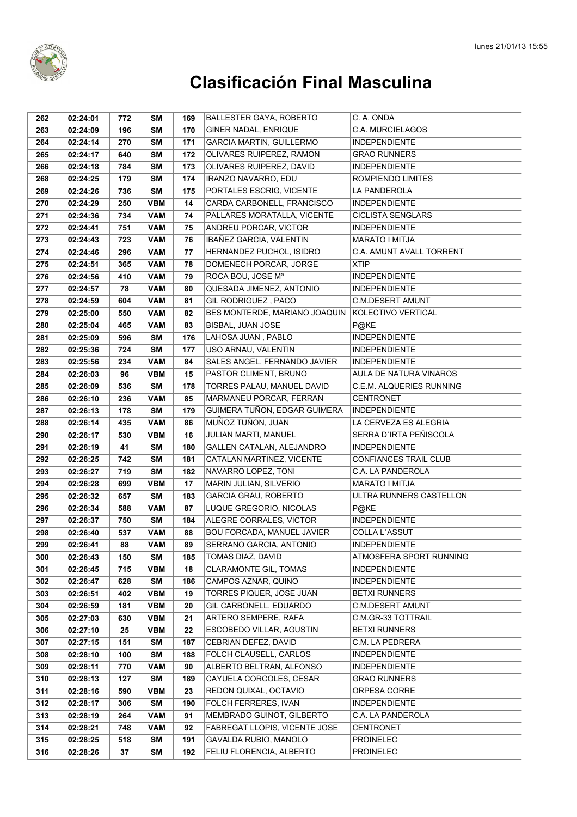

| 262 | 02:24:01 | 772 | SΜ         | 169 | <b>BALLESTER GAYA, ROBERTO</b>    | C. A. ONDA                   |
|-----|----------|-----|------------|-----|-----------------------------------|------------------------------|
| 263 | 02:24:09 | 196 | <b>SM</b>  | 170 | GINER NADAL, ENRIQUE              | <b>C.A. MURCIELAGOS</b>      |
| 264 | 02:24:14 | 270 | <b>SM</b>  | 171 | <b>GARCIA MARTIN, GUILLERMO</b>   | <b>INDEPENDIENTE</b>         |
| 265 | 02:24:17 | 640 | <b>SM</b>  | 172 | OLIVARES RUIPEREZ, RAMON          | <b>GRAO RUNNERS</b>          |
| 266 | 02:24:18 | 784 | <b>SM</b>  | 173 | OLIVARES RUIPEREZ, DAVID          | <b>INDEPENDIENTE</b>         |
| 268 | 02:24:25 | 179 | <b>SM</b>  | 174 | IRANZO NAVARRO, EDU               | ROMPIENDO LIMITES            |
| 269 | 02:24:26 | 736 | <b>SM</b>  | 175 | PORTALES ESCRIG, VICENTE          | LA PANDEROLA                 |
| 270 | 02:24:29 | 250 | <b>VBM</b> | 14  | CARDA CARBONELL, FRANCISCO        | <b>INDEPENDIENTE</b>         |
| 271 | 02:24:36 | 734 | <b>VAM</b> | 74  | PALLARES MORATALLA, VICENTE       | <b>CICLISTA SENGLARS</b>     |
| 272 | 02:24:41 | 751 | <b>VAM</b> | 75  | ANDREU PORCAR, VICTOR             | <b>INDEPENDIENTE</b>         |
| 273 | 02:24:43 | 723 | <b>VAM</b> | 76  | IBAÑEZ GARCIA, VALENTIN           | <b>MARATO I MITJA</b>        |
| 274 | 02:24:46 | 296 | <b>VAM</b> | 77  | HERNANDEZ PUCHOL, ISIDRO          | C.A. AMUNT AVALL TORRENT     |
| 275 | 02:24:51 | 365 | <b>VAM</b> | 78  | DOMENECH PORCAR, JORGE            | <b>XTIP</b>                  |
| 276 | 02:24:56 | 410 | <b>VAM</b> | 79  | ROCA BOU, JOSE Mª                 | <b>INDEPENDIENTE</b>         |
| 277 | 02:24:57 | 78  | <b>VAM</b> | 80  | QUESADA JIMENEZ, ANTONIO          | <b>INDEPENDIENTE</b>         |
| 278 | 02:24:59 | 604 | <b>VAM</b> | 81  | GIL RODRIGUEZ, PACO               | <b>C.M.DESERT AMUNT</b>      |
| 279 | 02:25:00 | 550 | <b>VAM</b> | 82  | BES MONTERDE, MARIANO JOAQUIN     | KOLECTIVO VERTICAL           |
| 280 | 02:25:04 | 465 | <b>VAM</b> | 83  | BISBAL, JUAN JOSE                 | P@KE                         |
| 281 | 02:25:09 | 596 | <b>SM</b>  | 176 | LAHOSA JUAN, PABLO                | <b>INDEPENDIENTE</b>         |
| 282 | 02:25:36 | 724 | <b>SM</b>  | 177 | USO ARNAU, VALENTIN               | <b>INDEPENDIENTE</b>         |
| 283 | 02:25:56 | 234 | <b>VAM</b> | 84  | SALES ANGEL, FERNANDO JAVIER      | <b>INDEPENDIENTE</b>         |
| 284 | 02:26:03 | 96  | <b>VBM</b> | 15  | PASTOR CLIMENT, BRUNO             | AULA DE NATURA VINAROS       |
| 285 | 02:26:09 | 536 | <b>SM</b>  | 178 | TORRES PALAU, MANUEL DAVID        | C.E.M. ALQUERIES RUNNING     |
| 286 | 02:26:10 | 236 | <b>VAM</b> | 85  | MARMANEU PORCAR, FERRAN           | <b>CENTRONET</b>             |
| 287 | 02:26:13 | 178 | <b>SM</b>  | 179 | GUIMERA TUÑON, EDGAR GUIMERA      | <b>INDEPENDIENTE</b>         |
| 288 | 02:26:14 | 435 | <b>VAM</b> | 86  | MUÑOZ TUÑON, JUAN                 | LA CERVEZA ES ALEGRIA        |
| 290 | 02:26:17 | 530 | <b>VBM</b> | 16  | JULIAN MARTI, MANUEL              | SERRA D'IRTA PEÑISCOLA       |
| 291 | 02:26:19 | 41  | <b>SM</b>  | 180 | GALLEN CATALAN, ALEJANDRO         | <b>INDEPENDIENTE</b>         |
| 292 | 02:26:25 | 742 | <b>SM</b>  | 181 | CATALAN MARTINEZ, VICENTE         | <b>CONFIANCES TRAIL CLUB</b> |
| 293 | 02:26:27 | 719 | <b>SM</b>  | 182 | NAVARRO LOPEZ, TONI               | C.A. LA PANDEROLA            |
| 294 | 02:26:28 | 699 | <b>VBM</b> | 17  | MARIN JULIAN, SILVERIO            | <b>MARATO I MITJA</b>        |
| 295 | 02:26:32 | 657 | SΜ         | 183 | <b>GARCIA GRAU, ROBERTO</b>       | ULTRA RUNNERS CASTELLON      |
| 296 | 02:26:34 | 588 | <b>VAM</b> | 87  | LUQUE GREGORIO, NICOLAS           | P@KE                         |
| 297 | 02:26:37 | 750 | <b>SM</b>  | 184 | ALEGRE CORRALES, VICTOR           | <b>INDEPENDIENTE</b>         |
| 298 | 02:26:40 | 537 | <b>VAM</b> | 88  | <b>BOU FORCADA, MANUEL JAVIER</b> | COLLA L'ASSUT                |
| 299 | 02:26:41 | 88  | <b>VAM</b> | 89  | SERRANO GARCIA, ANTONIO           | <b>INDEPENDIENTE</b>         |
| 300 | 02:26:43 | 150 | <b>SM</b>  | 185 | TOMAS DIAZ, DAVID                 | ATMOSFERA SPORT RUNNING      |
| 301 | 02:26:45 | 715 | <b>VBM</b> | 18  | <b>CLARAMONTE GIL, TOMAS</b>      | <b>INDEPENDIENTE</b>         |
| 302 | 02:26:47 | 628 | <b>SM</b>  | 186 | CAMPOS AZNAR, QUINO               | <b>INDEPENDIENTE</b>         |
| 303 | 02:26:51 | 402 | <b>VBM</b> | 19  | TORRES PIQUER, JOSE JUAN          | <b>BETXI RUNNERS</b>         |
| 304 | 02:26:59 | 181 | <b>VBM</b> | 20  | GIL CARBONELL, EDUARDO            | <b>C.M.DESERT AMUNT</b>      |
| 305 | 02:27:03 | 630 | <b>VBM</b> | 21  | ARTERO SEMPERE, RAFA              | C.M.GR-33 TOTTRAIL           |
| 306 | 02:27:10 | 25  | <b>VBM</b> | 22  | ESCOBEDO VILLAR, AGUSTIN          | <b>BETXI RUNNERS</b>         |
| 307 | 02:27:15 | 151 | SΜ         | 187 | CEBRIAN DEFEZ, DAVID              | C.M. LA PEDRERA              |
| 308 | 02:28:10 | 100 | SΜ         | 188 | FOLCH CLAUSELL, CARLOS            | <b>INDEPENDIENTE</b>         |
| 309 | 02:28:11 | 770 | <b>VAM</b> | 90  | ALBERTO BELTRAN, ALFONSO          | <b>INDEPENDIENTE</b>         |
| 310 | 02:28:13 | 127 | <b>SM</b>  | 189 | CAYUELA CORCOLES, CESAR           | <b>GRAO RUNNERS</b>          |
| 311 | 02:28:16 | 590 | <b>VBM</b> | 23  | REDON QUIXAL, OCTAVIO             | ORPESA CORRE                 |
| 312 | 02:28:17 | 306 | <b>SM</b>  | 190 | FOLCH FERRERES, IVAN              | <b>INDEPENDIENTE</b>         |
| 313 | 02:28:19 | 264 | <b>VAM</b> | 91  | MEMBRADO GUINOT, GILBERTO         | C.A. LA PANDEROLA            |
| 314 | 02:28:21 | 748 | <b>VAM</b> | 92  | FABREGAT LLOPIS, VICENTE JOSE     | <b>CENTRONET</b>             |
| 315 | 02:28:25 | 518 | <b>SM</b>  | 191 | GAVALDA RUBIO, MANOLO             | <b>PROINELEC</b>             |
| 316 | 02:28:26 | 37  | <b>SM</b>  | 192 | FELIU FLORENCIA, ALBERTO          | <b>PROINELEC</b>             |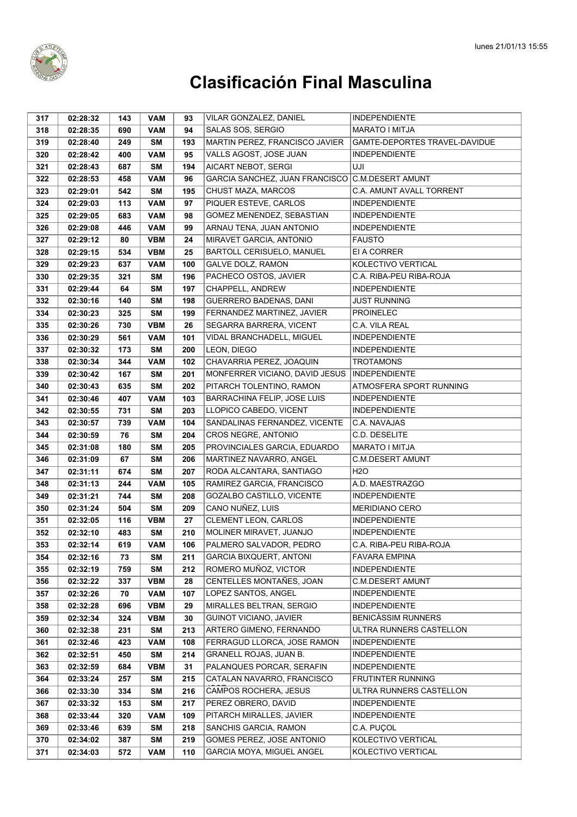

| 317 | 02:28:32 | 143 | <b>VAM</b> | 93  | VILAR GONZALEZ, DANIEL                          | INDEPENDIENTE                 |
|-----|----------|-----|------------|-----|-------------------------------------------------|-------------------------------|
| 318 | 02:28:35 | 690 | <b>VAM</b> | 94  | SALAS SOS, SERGIO                               | <b>MARATO I MITJA</b>         |
| 319 | 02:28:40 | 249 | SΜ         | 193 | MARTIN PEREZ. FRANCISCO JAVIER                  | GAMTE-DEPORTES TRAVEL-DAVIDUE |
| 320 | 02:28:42 | 400 | <b>VAM</b> | 95  | VALLS AGOST, JOSE JUAN                          | <b>INDEPENDIENTE</b>          |
| 321 | 02:28:43 | 687 | <b>SM</b>  | 194 | <b>AICART NEBOT, SERGI</b>                      | UJI                           |
| 322 | 02:28:53 | 458 | <b>VAM</b> | 96  | GARCIA SANCHEZ, JUAN FRANCISCO C.M.DESERT AMUNT |                               |
| 323 | 02:29:01 | 542 | <b>SM</b>  | 195 | CHUST MAZA, MARCOS                              | C.A. AMUNT AVALL TORRENT      |
| 324 | 02:29:03 | 113 | <b>VAM</b> | 97  | PIQUER ESTEVE, CARLOS                           | <b>INDEPENDIENTE</b>          |
| 325 | 02:29:05 | 683 | <b>VAM</b> | 98  | GOMEZ MENENDEZ, SEBASTIAN                       | <b>INDEPENDIENTE</b>          |
| 326 | 02:29:08 | 446 | <b>VAM</b> | 99  | ARNAU TENA, JUAN ANTONIO                        | <b>INDEPENDIENTE</b>          |
| 327 | 02:29:12 | 80  | <b>VBM</b> | 24  | MIRAVET GARCIA, ANTONIO                         | <b>FAUSTO</b>                 |
| 328 | 02:29:15 | 534 | <b>VBM</b> | 25  | BARTOLL CERISUELO, MANUEL                       | EI A CORRER                   |
| 329 | 02:29:23 | 637 | <b>VAM</b> | 100 | GALVE DOLZ, RAMON                               | KOLECTIVO VERTICAL            |
| 330 | 02:29:35 | 321 | SΜ         | 196 | PACHECO OSTOS, JAVIER                           | C.A. RIBA-PEU RIBA-ROJA       |
| 331 | 02:29:44 | 64  | <b>SM</b>  | 197 | CHAPPELL, ANDREW                                | <b>INDEPENDIENTE</b>          |
| 332 | 02:30:16 | 140 | <b>SM</b>  | 198 | GUERRERO BADENAS, DANI                          | JUST RUNNING                  |
| 334 | 02:30:23 | 325 | <b>SM</b>  | 199 | FERNANDEZ MARTINEZ, JAVIER                      | <b>PROINELEC</b>              |
| 335 | 02:30:26 | 730 | <b>VBM</b> | 26  | SEGARRA BARRERA, VICENT                         | C.A. VILA REAL                |
| 336 | 02:30:29 | 561 | <b>VAM</b> | 101 | VIDAL BRANCHADELL, MIGUEL                       | <b>INDEPENDIENTE</b>          |
| 337 | 02:30:32 | 173 | <b>SM</b>  | 200 | LEON, DIEGO                                     | <b>INDEPENDIENTE</b>          |
| 338 | 02:30:34 | 344 | <b>VAM</b> | 102 | CHAVARRIA PEREZ, JOAQUIN                        | <b>TROTAMONS</b>              |
| 339 | 02:30:42 | 167 | <b>SM</b>  | 201 | MONFERRER VICIANO, DAVID JESUS                  | <b>INDEPENDIENTE</b>          |
| 340 | 02:30:43 | 635 | <b>SM</b>  | 202 | PITARCH TOLENTINO, RAMON                        | ATMOSFERA SPORT RUNNING       |
| 341 | 02:30:46 | 407 | <b>VAM</b> | 103 | BARRACHINA FELIP, JOSE LUIS                     | <b>INDEPENDIENTE</b>          |
| 342 | 02:30:55 | 731 | <b>SM</b>  | 203 | LLOPICO CABEDO, VICENT                          | <b>INDEPENDIENTE</b>          |
| 343 | 02:30:57 | 739 | <b>VAM</b> | 104 | SANDALINAS FERNANDEZ, VICENTE                   | C.A. NAVAJAS                  |
| 344 | 02:30:59 | 76  | <b>SM</b>  | 204 | CROS NEGRE, ANTONIO                             | C.D. DESELITE                 |
| 345 | 02:31:08 | 180 | <b>SM</b>  | 205 | PROVINCIALES GARCIA, EDUARDO                    | MARATO I MITJA                |
| 346 | 02:31:09 | 67  | <b>SM</b>  | 206 | MARTINEZ NAVARRO, ANGEL                         | <b>C.M.DESERT AMUNT</b>       |
| 347 | 02:31:11 | 674 | <b>SM</b>  | 207 | RODA ALCANTARA, SANTIAGO                        | H <sub>2</sub> O              |
| 348 | 02:31:13 | 244 | <b>VAM</b> | 105 | RAMIREZ GARCIA, FRANCISCO                       | A.D. MAESTRAZGO               |
| 349 | 02:31:21 | 744 | <b>SM</b>  | 208 | GOZALBO CASTILLO, VICENTE                       | <b>INDEPENDIENTE</b>          |
| 350 | 02:31:24 | 504 | <b>SM</b>  | 209 | CANO NUÑEZ, LUIS                                | <b>MERIDIANO CERO</b>         |
| 351 | 02:32:05 | 116 | <b>VBM</b> | 27  | CLEMENT LEON, CARLOS                            | <b>INDEPENDIENTE</b>          |
| 352 | 02:32:10 | 483 | <b>SM</b>  | 210 | MOLINER MIRAVET, JUANJO                         | <b>INDEPENDIENTE</b>          |
| 353 | 02:32:14 | 619 | <b>VAM</b> | 106 | PALMERO SALVADOR, PEDRO                         | C.A. RIBA-PEU RIBA-ROJA       |
| 354 | 02:32:16 | 73  | SM         | 211 | <b>GARCIA BIXQUERT, ANTONI</b>                  | <b>FAVARA EMPINA</b>          |
| 355 | 02:32:19 | 759 | SM         | 212 | ROMERO MUÑOZ, VICTOR                            | <b>INDEPENDIENTE</b>          |
| 356 | 02:32:22 | 337 | <b>VBM</b> | 28  | CENTELLES MONTAÑES, JOAN                        | <b>C.M.DESERT AMUNT</b>       |
| 357 | 02:32:26 | 70  | <b>VAM</b> | 107 | LOPEZ SANTOS, ANGEL                             | <b>INDEPENDIENTE</b>          |
| 358 | 02:32:28 | 696 | <b>VBM</b> | 29  | MIRALLES BELTRAN, SERGIO                        | <b>INDEPENDIENTE</b>          |
| 359 | 02:32:34 | 324 | <b>VBM</b> | 30  | <b>GUINOT VICIANO, JAVIER</b>                   | <b>BENICASSIM RUNNERS</b>     |
| 360 | 02:32:38 | 231 | SM         | 213 | ARTERO GIMENO, FERNANDO                         | ULTRA RUNNERS CASTELLON       |
| 361 | 02:32:46 | 423 | <b>VAM</b> | 108 | FERRAGUD LLORCA, JOSE RAMON                     | <b>INDEPENDIENTE</b>          |
| 362 | 02:32:51 | 450 | SM         | 214 | GRANELL ROJAS, JUAN B.                          | <b>INDEPENDIENTE</b>          |
| 363 | 02:32:59 | 684 | <b>VBM</b> | 31  | PALANQUES PORCAR, SERAFIN                       | <b>INDEPENDIENTE</b>          |
| 364 | 02:33:24 | 257 | SM         | 215 | CATALAN NAVARRO, FRANCISCO                      | FRUTINTER RUNNING             |
| 366 | 02:33:30 | 334 | SM         | 216 | CAMPOS ROCHERA, JESUS                           | ULTRA RUNNERS CASTELLON       |
| 367 | 02:33:32 | 153 | SM         | 217 | PEREZ OBRERO, DAVID                             | <b>INDEPENDIENTE</b>          |
| 368 | 02:33:44 | 320 | <b>VAM</b> | 109 | PITARCH MIRALLES, JAVIER                        | <b>INDEPENDIENTE</b>          |
| 369 | 02:33:46 | 639 | SM         | 218 | SANCHIS GARCIA, RAMON                           | C.A. PUÇOL                    |
| 370 | 02:34:02 | 387 | SM         | 219 | GOMES PEREZ, JOSE ANTONIO                       | KOLECTIVO VERTICAL            |
| 371 | 02:34:03 | 572 | <b>VAM</b> | 110 | GARCIA MOYA, MIGUEL ANGEL                       | KOLECTIVO VERTICAL            |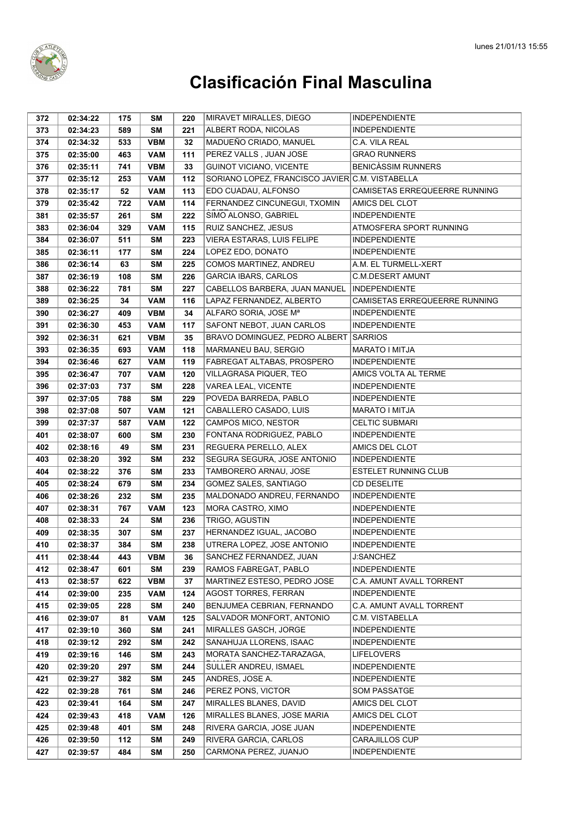

| 372 | 02:34:22 | 175 | SΜ         | 220 | MIRAVET MIRALLES, DIEGO                         | <b>INDEPENDIENTE</b>          |
|-----|----------|-----|------------|-----|-------------------------------------------------|-------------------------------|
| 373 | 02:34:23 | 589 | <b>SM</b>  | 221 | ALBERT RODA, NICOLAS                            | <b>INDEPENDIENTE</b>          |
| 374 | 02:34:32 | 533 | <b>VBM</b> | 32  | MADUEÑO CRIADO, MANUEL                          | C.A. VILA REAL                |
| 375 | 02:35:00 | 463 | <b>VAM</b> | 111 | PEREZ VALLS, JUAN JOSE                          | <b>GRAO RUNNERS</b>           |
| 376 | 02:35:11 | 741 | <b>VBM</b> | 33  | <b>GUINOT VICIANO, VICENTE</b>                  | <b>BENICÀSSIM RUNNERS</b>     |
| 377 | 02:35:12 | 253 | <b>VAM</b> | 112 | SORIANO LOPEZ, FRANCISCO JAVIER C.M. VISTABELLA |                               |
| 378 | 02:35:17 | 52  | <b>VAM</b> | 113 | EDO CUADAU, ALFONSO                             | CAMISETAS ERREQUEERRE RUNNING |
| 379 | 02:35:42 | 722 | <b>VAM</b> | 114 | FERNANDEZ CINCUNEGUI, TXOMIN                    | AMICS DEL CLOT                |
| 381 | 02:35:57 | 261 | <b>SM</b>  | 222 | SIMO ALONSO, GABRIEL                            | <b>INDEPENDIENTE</b>          |
| 383 | 02:36:04 | 329 | <b>VAM</b> | 115 | RUIZ SANCHEZ, JESUS                             | ATMOSFERA SPORT RUNNING       |
| 384 | 02:36:07 | 511 | SΜ         | 223 | VIERA ESTARAS, LUIS FELIPE                      | <b>INDEPENDIENTE</b>          |
| 385 | 02:36:11 | 177 | SΜ         | 224 | LOPEZ EDO, DONATO                               | <b>INDEPENDIENTE</b>          |
| 386 | 02:36:14 | 63  | <b>SM</b>  | 225 | COMOS MARTINEZ, ANDREU                          | A.M. EL TURMELL-XERT          |
| 387 | 02:36:19 | 108 | <b>SM</b>  | 226 | <b>GARCIA IBARS, CARLOS</b>                     | <b>C.M.DESERT AMUNT</b>       |
| 388 | 02:36:22 | 781 | <b>SM</b>  | 227 | CABELLOS BARBERA, JUAN MANUEL                   | <b>INDEPENDIENTE</b>          |
| 389 | 02:36:25 | 34  | <b>VAM</b> | 116 | LAPAZ FERNANDEZ, ALBERTO                        | CAMISETAS ERREQUEERRE RUNNING |
| 390 | 02:36:27 | 409 | <b>VBM</b> | 34  | ALFARO SORIA, JOSE Mª                           | <b>INDEPENDIENTE</b>          |
| 391 | 02:36:30 | 453 | <b>VAM</b> | 117 | SAFONT NEBOT, JUAN CARLOS                       | <b>INDEPENDIENTE</b>          |
| 392 | 02:36:31 | 621 | <b>VBM</b> | 35  | BRAVO DOMINGUEZ, PEDRO ALBERT                   | SARRIOS                       |
| 393 | 02:36:35 | 693 | <b>VAM</b> | 118 | MARMANEU BAU, SERGIO                            | <b>MARATO I MITJA</b>         |
| 394 | 02:36:46 | 627 | <b>VAM</b> | 119 | FABREGAT ALTABAS, PROSPERO                      | <b>INDEPENDIENTE</b>          |
| 395 | 02:36:47 | 707 | <b>VAM</b> | 120 | VILLAGRASA PIQUER, TEO                          | AMICS VOLTA AL TERME          |
| 396 | 02:37:03 | 737 | SΜ         | 228 | VAREA LEAL, VICENTE                             | <b>INDEPENDIENTE</b>          |
| 397 | 02:37:05 | 788 | <b>SM</b>  | 229 | POVEDA BARREDA, PABLO                           | <b>INDEPENDIENTE</b>          |
| 398 | 02:37:08 | 507 | <b>VAM</b> | 121 | CABALLERO CASADO, LUIS                          | MARATO I MITJA                |
| 399 | 02:37:37 | 587 | <b>VAM</b> | 122 | CAMPOS MICO, NESTOR                             | <b>CELTIC SUBMARI</b>         |
| 401 | 02:38:07 | 600 | <b>SM</b>  | 230 | FONTANA RODRIGUEZ, PABLO                        | <b>INDEPENDIENTE</b>          |
| 402 | 02:38:16 | 49  | <b>SM</b>  | 231 | REGUERA PERELLO, ALEX                           | AMICS DEL CLOT                |
| 403 | 02:38:20 | 392 | <b>SM</b>  | 232 | SEGURA SEGURA, JOSE ANTONIO                     | <b>INDEPENDIENTE</b>          |
| 404 | 02:38:22 | 376 | <b>SM</b>  | 233 | TAMBORERO ARNAU, JOSE                           | <b>ESTELET RUNNING CLUB</b>   |
| 405 | 02:38:24 | 679 | <b>SM</b>  | 234 | GOMEZ SALES, SANTIAGO                           | CD DESELITE                   |
| 406 | 02:38:26 | 232 | SΜ         | 235 | MALDONADO ANDREU, FERNANDO                      | <b>INDEPENDIENTE</b>          |
| 407 | 02:38:31 | 767 | <b>VAM</b> | 123 | MORA CASTRO, XIMO                               | <b>INDEPENDIENTE</b>          |
| 408 | 02:38:33 | 24  | <b>SM</b>  | 236 | TRIGO, AGUSTIN                                  | <b>INDEPENDIENTE</b>          |
| 409 | 02:38:35 | 307 | <b>SM</b>  | 237 | HERNANDEZ IGUAL, JACOBO                         | <b>INDEPENDIENTE</b>          |
| 410 | 02:38:37 | 384 | <b>SM</b>  | 238 | UTRERA LOPEZ, JOSE ANTONIO                      | <b>INDEPENDIENTE</b>          |
| 411 | 02:38:44 | 443 | <b>VBM</b> | 36  | SANCHEZ FERNANDEZ, JUAN                         | <b>J:SANCHEZ</b>              |
| 412 | 02:38:47 | 601 | <b>SM</b>  | 239 | RAMOS FABREGAT, PABLO                           | <b>INDEPENDIENTE</b>          |
| 413 | 02:38:57 | 622 | <b>VBM</b> | 37  | MARTINEZ ESTESO, PEDRO JOSE                     | C.A. AMUNT AVALL TORRENT      |
| 414 | 02:39:00 | 235 | <b>VAM</b> | 124 | <b>AGOST TORRES, FERRAN</b>                     | <b>INDEPENDIENTE</b>          |
| 415 | 02:39:05 | 228 | <b>SM</b>  | 240 | BENJUMEA CEBRIAN, FERNANDO                      | C.A. AMUNT AVALL TORRENT      |
| 416 | 02:39:07 | 81  | <b>VAM</b> | 125 | SALVADOR MONFORT, ANTONIO                       | C.M. VISTABELLA               |
| 417 | 02:39:10 | 360 | <b>SM</b>  | 241 | MIRALLES GASCH, JORGE                           | <b>INDEPENDIENTE</b>          |
| 418 | 02:39:12 | 292 | <b>SM</b>  | 242 | SANAHUJA LLORENS, ISAAC                         | <b>INDEPENDIENTE</b>          |
| 419 | 02:39:16 | 146 | <b>SM</b>  | 243 | MORATA SANCHEZ-TARAZAGA,                        | <b>LIFELOVERS</b>             |
| 420 | 02:39:20 | 297 | <b>SM</b>  | 244 | SULLER ANDREU, ISMAEL                           | <b>INDEPENDIENTE</b>          |
| 421 | 02:39:27 | 382 | <b>SM</b>  | 245 | ANDRES, JOSE A.                                 | <b>INDEPENDIENTE</b>          |
| 422 | 02:39:28 | 761 | <b>SM</b>  | 246 | PEREZ PONS, VICTOR                              | SOM PASSATGE                  |
| 423 | 02:39:41 | 164 | SΜ         | 247 | MIRALLES BLANES, DAVID                          | AMICS DEL CLOT                |
| 424 | 02:39:43 | 418 | <b>VAM</b> | 126 | MIRALLES BLANES, JOSE MARIA                     | AMICS DEL CLOT                |
| 425 | 02:39:48 | 401 | SΜ         | 248 | RIVERA GARCIA, JOSE JUAN                        | <b>INDEPENDIENTE</b>          |
| 426 | 02:39:50 | 112 | <b>SM</b>  | 249 | RIVERA GARCIA, CARLOS                           | CARAJILLOS CUP                |
| 427 | 02:39:57 | 484 | <b>SM</b>  | 250 | CARMONA PEREZ, JUANJO                           | <b>INDEPENDIENTE</b>          |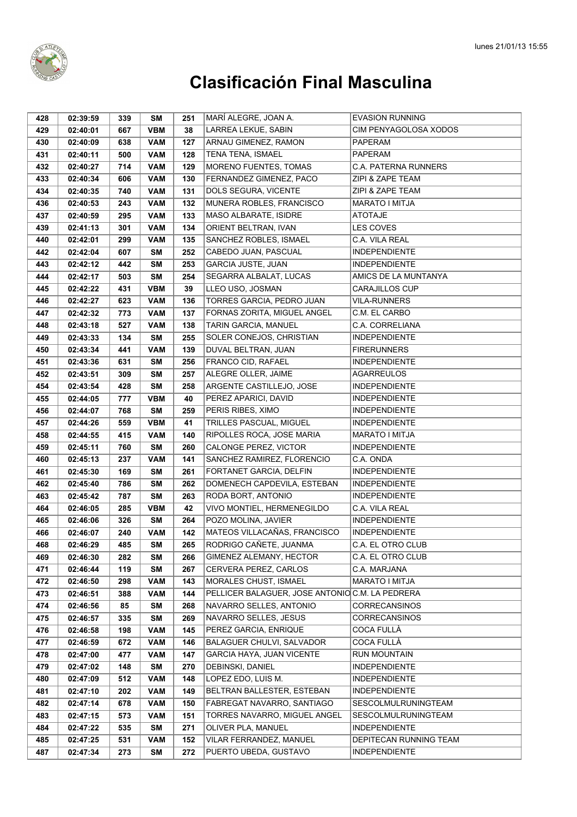

| 428 | 02:39:59 | 339 | SM         | 251 | MARÍ ALEGRE, JOAN A.                           | <b>EVASION RUNNING</b>      |
|-----|----------|-----|------------|-----|------------------------------------------------|-----------------------------|
| 429 | 02:40:01 | 667 | <b>VBM</b> | 38  | LARREA LEKUE, SABIN                            | CIM PENYAGOLOSA XODOS       |
| 430 | 02:40:09 | 638 | <b>VAM</b> | 127 | ARNAU GIMENEZ, RAMON                           | PAPERAM                     |
| 431 | 02:40:11 | 500 | <b>VAM</b> | 128 | TENA TENA, ISMAEL                              | PAPERAM                     |
| 432 | 02:40:27 | 714 | <b>VAM</b> | 129 | MORENO FUENTES, TOMAS                          | <b>C.A. PATERNA RUNNERS</b> |
| 433 | 02:40:34 | 606 | <b>VAM</b> | 130 | FERNANDEZ GIMENEZ, PACO                        | ZIPI & ZAPE TEAM            |
| 434 | 02:40:35 | 740 | <b>VAM</b> | 131 | DOLS SEGURA, VICENTE                           | ZIPI & ZAPE TEAM            |
| 436 | 02:40:53 | 243 | <b>VAM</b> | 132 | MUNERA ROBLES, FRANCISCO                       | <b>MARATO I MITJA</b>       |
| 437 | 02:40:59 | 295 | <b>VAM</b> | 133 | MASO ALBARATE, ISIDRE                          | <b>ATOTAJE</b>              |
| 439 | 02:41:13 | 301 | <b>VAM</b> | 134 | ORIENT BELTRAN, IVAN                           | <b>LES COVES</b>            |
| 440 | 02:42:01 | 299 | <b>VAM</b> | 135 | SANCHEZ ROBLES, ISMAEL                         | C.A. VILA REAL              |
| 442 | 02:42:04 | 607 | SΜ         | 252 | CABEDO JUAN, PASCUAL                           | <b>INDEPENDIENTE</b>        |
| 443 | 02:42:12 | 442 | <b>SM</b>  | 253 | GARCIA JUSTE, JUAN                             | <b>INDEPENDIENTE</b>        |
| 444 | 02:42:17 | 503 | <b>SM</b>  | 254 | SEGARRA ALBALAT, LUCAS                         | AMICS DE LA MUNTANYA        |
| 445 | 02:42:22 | 431 | <b>VBM</b> | 39  | LLEO USO, JOSMAN                               | <b>CARAJILLOS CUP</b>       |
| 446 | 02:42:27 | 623 | <b>VAM</b> | 136 | TORRES GARCIA, PEDRO JUAN                      | <b>VILA-RUNNERS</b>         |
| 447 | 02:42:32 | 773 | <b>VAM</b> | 137 | FORNAS ZORITA, MIGUEL ANGEL                    | C.M. EL CARBO               |
| 448 | 02:43:18 | 527 | <b>VAM</b> | 138 | TARIN GARCIA, MANUEL                           | C.A. CORRELIANA             |
| 449 | 02:43:33 | 134 | <b>SM</b>  | 255 | SOLER CONEJOS, CHRISTIAN                       | <b>INDEPENDIENTE</b>        |
| 450 | 02:43:34 | 441 | <b>VAM</b> | 139 | DUVAL BELTRAN, JUAN                            | <b>FIRERUNNERS</b>          |
| 451 | 02:43:36 | 631 | SΜ         | 256 | FRANCO CID, RAFAEL                             | <b>INDEPENDIENTE</b>        |
| 452 | 02:43:51 | 309 | <b>SM</b>  | 257 | <b>ALEGRE OLLER, JAIME</b>                     | <b>AGARREULOS</b>           |
| 454 | 02:43:54 | 428 | <b>SM</b>  | 258 | ARGENTE CASTILLEJO, JOSE                       | <b>INDEPENDIENTE</b>        |
| 455 | 02:44:05 | 777 | <b>VBM</b> | 40  | PEREZ APARICI, DAVID                           | <b>INDEPENDIENTE</b>        |
| 456 | 02:44:07 | 768 | <b>SM</b>  | 259 | PERIS RIBES, XIMO                              | <b>INDEPENDIENTE</b>        |
| 457 | 02:44:26 | 559 | <b>VBM</b> | 41  | TRILLES PASCUAL, MIGUEL                        | <b>INDEPENDIENTE</b>        |
| 458 | 02:44:55 | 415 | <b>VAM</b> | 140 | RIPOLLES ROCA, JOSE MARIA                      | MARATO I MITJA              |
| 459 | 02:45:11 | 760 | <b>SM</b>  | 260 | CALONGE PEREZ, VICTOR                          | <b>INDEPENDIENTE</b>        |
| 460 | 02:45:13 | 237 | <b>VAM</b> | 141 | SANCHEZ RAMIREZ, FLORENCIO                     | C.A. ONDA                   |
| 461 | 02:45:30 | 169 | <b>SM</b>  | 261 | FORTANET GARCIA, DELFIN                        | <b>INDEPENDIENTE</b>        |
| 462 | 02:45:40 | 786 | SΜ         | 262 | DOMENECH CAPDEVILA, ESTEBAN                    | <b>INDEPENDIENTE</b>        |
| 463 | 02:45:42 | 787 | SM         | 263 | RODA BORT, ANTONIO                             | <b>INDEPENDIENTE</b>        |
| 464 | 02:46:05 | 285 | <b>VBM</b> | 42  | VIVO MONTIEL, HERMENEGILDO                     | C.A. VILA REAL              |
| 465 | 02:46:06 | 326 | <b>SM</b>  | 264 | POZO MOLINA, JAVIER                            | <b>INDEPENDIENTE</b>        |
| 466 | 02:46:07 | 240 | <b>VAM</b> | 142 | MATEOS VILLACAÑAS, FRANCISCO                   | <b>INDEPENDIENTE</b>        |
| 468 | 02:46:29 | 485 | <b>SM</b>  | 265 | RODRIGO CAÑETE, JUANMA                         | C.A. EL OTRO CLUB           |
| 469 | 02:46:30 | 282 | <b>SM</b>  | 266 | GIMENEZ ALEMANY, HECTOR                        | C.A. EL OTRO CLUB           |
| 471 | 02:46:44 | 119 | SM         | 267 | CERVERA PEREZ, CARLOS                          | C.A. MARJANA                |
| 472 | 02:46:50 | 298 | <b>VAM</b> | 143 | MORALES CHUST, ISMAEL                          | MARATO I MITJA              |
| 473 | 02:46:51 | 388 | <b>VAM</b> | 144 | PELLICER BALAGUER, JOSE ANTONIOC.M. LA PEDRERA |                             |
| 474 | 02:46:56 | 85  | SM         | 268 | NAVARRO SELLES, ANTONIO                        | <b>CORRECANSINOS</b>        |
| 475 | 02:46:57 | 335 | SM         | 269 | NAVARRO SELLES, JESUS                          | <b>CORRECANSINOS</b>        |
| 476 | 02:46:58 | 198 | <b>VAM</b> | 145 | PEREZ GARCIA, ENRIQUE                          | COCA FULLÀ                  |
| 477 | 02:46:59 | 672 | <b>VAM</b> | 146 | <b>BALAGUER CHULVI, SALVADOR</b>               | COCA FULLÀ                  |
| 478 | 02:47:00 | 477 | <b>VAM</b> | 147 | GARCIA HAYA, JUAN VICENTE                      | <b>RUN MOUNTAIN</b>         |
| 479 | 02:47:02 | 148 | SM         | 270 | <b>DEBINSKI, DANIEL</b>                        | <b>INDEPENDIENTE</b>        |
| 480 | 02:47:09 | 512 | <b>VAM</b> | 148 | LOPEZ EDO, LUIS M.                             | <b>INDEPENDIENTE</b>        |
| 481 | 02:47:10 | 202 | <b>VAM</b> | 149 | BELTRAN BALLESTER, ESTEBAN                     | <b>INDEPENDIENTE</b>        |
| 482 | 02:47:14 | 678 | <b>VAM</b> | 150 | FABREGAT NAVARRO, SANTIAGO                     | SESCOLMULRUNINGTEAM         |
| 483 | 02:47:15 | 573 | <b>VAM</b> | 151 | TORRES NAVARRO, MIGUEL ANGEL                   | SESCOLMULRUNINGTEAM         |
| 484 | 02:47:22 | 535 | SM         | 271 | OLIVER PLA, MANUEL                             | <b>INDEPENDIENTE</b>        |
| 485 | 02:47:25 | 531 | <b>VAM</b> | 152 | VILAR FERRANDEZ, MANUEL                        | DEPITECAN RUNNING TEAM      |
| 487 | 02:47:34 | 273 | SM         | 272 | PUERTO UBEDA, GUSTAVO                          | <b>INDEPENDIENTE</b>        |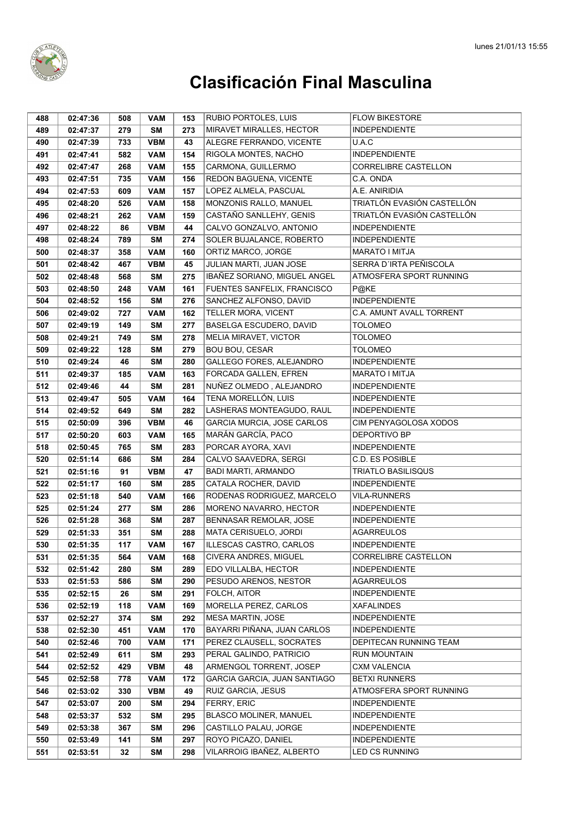

| 488 | 02:47:36             | 508 | <b>VAM</b> | 153 | RUBIO PORTOLES, LUIS         | <b>FLOW BIKESTORE</b>       |
|-----|----------------------|-----|------------|-----|------------------------------|-----------------------------|
| 489 | 02:47:37             | 279 | <b>SM</b>  | 273 | MIRAVET MIRALLES, HECTOR     | <b>INDEPENDIENTE</b>        |
| 490 | 02:47:39             | 733 | <b>VBM</b> | 43  | ALEGRE FERRANDO, VICENTE     | U.A.C                       |
| 491 | 02:47:41             | 582 | <b>VAM</b> | 154 | RIGOLA MONTES, NACHO         | <b>INDEPENDIENTE</b>        |
| 492 | 02:47:47             | 268 | <b>VAM</b> | 155 | CARMONA, GUILLERMO           | <b>CORRELIBRE CASTELLON</b> |
| 493 | 02:47:51             | 735 | <b>VAM</b> | 156 | REDON BAGUENA, VICENTE       | C.A. ONDA                   |
| 494 | 02:47:53             | 609 | <b>VAM</b> | 157 | LOPEZ ALMELA, PASCUAL        | A.E. ANIRIDIA               |
| 495 | 02:48:20             | 526 | <b>VAM</b> | 158 | MONZONIS RALLO, MANUEL       | TRIATLÓN EVASIÓN CASTELLÓN  |
| 496 | 02:48:21             | 262 | <b>VAM</b> | 159 | CASTAÑO SANLLEHY, GENIS      | TRIATLÓN EVASIÓN CASTELLÓN  |
| 497 | 02:48:22             | 86  | <b>VBM</b> | 44  | CALVO GONZALVO, ANTONIO      | <b>INDEPENDIENTE</b>        |
| 498 | 02:48:24             | 789 | <b>SM</b>  | 274 | SOLER BUJALANCE, ROBERTO     | <b>INDEPENDIENTE</b>        |
| 500 | 02:48:37             | 358 | <b>VAM</b> | 160 | ORTIZ MARCO, JORGE           | <b>MARATO I MITJA</b>       |
| 501 | 02:48:42             | 467 | <b>VBM</b> | 45  | JULIAN MARTI, JUAN JOSE      | SERRA D'IRTA PEÑISCOLA      |
| 502 | 02:48:48             | 568 | SΜ         | 275 | IBAÑEZ SORIANO, MIGUEL ANGEL | ATMOSFERA SPORT RUNNING     |
| 503 | 02:48:50             | 248 | <b>VAM</b> | 161 | FUENTES SANFELIX, FRANCISCO  | P@KE                        |
| 504 | 02:48:52             | 156 | <b>SM</b>  | 276 | SANCHEZ ALFONSO, DAVID       | <b>INDEPENDIENTE</b>        |
| 506 | 02:49:02             | 727 | <b>VAM</b> | 162 | TELLER MORA, VICENT          | C.A. AMUNT AVALL TORRENT    |
| 507 | 02:49:19             | 149 | <b>SM</b>  | 277 | BASELGA ESCUDERO, DAVID      | <b>TOLOMEO</b>              |
| 508 | 02:49:21             | 749 | <b>SM</b>  | 278 | MELIA MIRAVET, VICTOR        | <b>TOLOMEO</b>              |
| 509 | 02:49:22             | 128 | <b>SM</b>  | 279 | <b>BOU BOU, CESAR</b>        | <b>TOLOMEO</b>              |
| 510 | 02:49:24             | 46  | <b>SM</b>  | 280 | GALLEGO FORES, ALEJANDRO     | <b>INDEPENDIENTE</b>        |
| 511 | 02:49:37             | 185 | <b>VAM</b> | 163 | FORCADA GALLEN, EFREN        | <b>MARATO I MITJA</b>       |
| 512 | 02:49:46             | 44  | <b>SM</b>  | 281 | NUÑEZ OLMEDO, ALEJANDRO      | <b>INDEPENDIENTE</b>        |
| 513 | 02:49:47             | 505 | <b>VAM</b> | 164 | TENA MORELLÓN, LUIS          | <b>INDEPENDIENTE</b>        |
| 514 | 02:49:52             | 649 | <b>SM</b>  | 282 | LASHERAS MONTEAGUDO, RAUL    | <b>INDEPENDIENTE</b>        |
| 515 | 02:50:09             | 396 | <b>VBM</b> | 46  | GARCIA MURCIA, JOSE CARLOS   | CIM PENYAGOLOSA XODOS       |
| 517 | 02:50:20             | 603 | <b>VAM</b> | 165 | MARÁN GARCÍA, PACO           | DEPORTIVO BP                |
| 518 | 02:50:45             | 765 | <b>SM</b>  | 283 | PORCAR AYORA, XAVI           | <b>INDEPENDIENTE</b>        |
| 520 | 02:51:14             | 686 | <b>SM</b>  | 284 | CALVO SAAVEDRA, SERGI        | C.D. ES POSIBLE             |
| 521 | 02:51:16             | 91  | <b>VBM</b> | 47  | <b>BADI MARTI, ARMANDO</b>   | <b>TRIATLO BASILISQUS</b>   |
| 522 | 02:51:17             | 160 | <b>SM</b>  | 285 | CATALA ROCHER, DAVID         | <b>INDEPENDIENTE</b>        |
| 523 | 02:51:18             | 540 | <b>VAM</b> | 166 | RODENAS RODRIGUEZ, MARCELO   | <b>VILA-RUNNERS</b>         |
| 525 | 02:51:24             | 277 | SΜ         | 286 | MORENO NAVARRO, HECTOR       | <b>INDEPENDIENTE</b>        |
| 526 | 02:51:28             | 368 | <b>SM</b>  | 287 | BENNASAR REMOLAR, JOSE       | <b>INDEPENDIENTE</b>        |
| 529 | 02:51:33             | 351 | <b>SM</b>  | 288 | MATA CERISUELO, JORDI        | AGARREULOS                  |
| 530 | 02:51:35             | 117 | <b>VAM</b> | 167 | ILLESCAS CASTRO, CARLOS      | <b>INDEPENDIENTE</b>        |
| 531 | 02:51:35             | 564 | <b>VAM</b> | 168 | CIVERA ANDRES, MIGUEL        | CORRELIBRE CASTELLON        |
| 532 | 02:51:42             | 280 | SΜ         | 289 | EDO VILLALBA, HECTOR         | <b>INDEPENDIENTE</b>        |
| 533 | 02:51:53             | 586 | <b>SM</b>  | 290 | PESUDO ARENOS, NESTOR        | <b>AGARREULOS</b>           |
| 535 | 02:52:15             | 26  | <b>SM</b>  | 291 | FOLCH, AITOR                 | <b>INDEPENDIENTE</b>        |
| 536 | 02:52:19             | 118 | <b>VAM</b> | 169 | MORELLA PEREZ, CARLOS        | <b>XAFALINDES</b>           |
| 537 | 02:52:27             | 374 | <b>SM</b>  | 292 | <b>MESA MARTIN, JOSE</b>     | <b>INDEPENDIENTE</b>        |
| 538 | 02:52:30             | 451 | <b>VAM</b> | 170 | BAYARRI PIÑANA, JUAN CARLOS  | <b>INDEPENDIENTE</b>        |
| 540 | 02:52:46             | 700 | <b>VAM</b> | 171 | PEREZ CLAUSELL, SOCRATES     | DEPITECAN RUNNING TEAM      |
| 541 | 02:52:49             | 611 | <b>SM</b>  | 293 | PERAL GALINDO, PATRICIO      | <b>RUN MOUNTAIN</b>         |
| 544 | 02:52:52             | 429 | <b>VBM</b> | 48  | ARMENGOL TORRENT, JOSEP      | <b>CXM VALENCIA</b>         |
| 545 | 02:52:58             | 778 | <b>VAM</b> | 172 | GARCIA GARCIA, JUAN SANTIAGO | <b>BETXI RUNNERS</b>        |
| 546 | 02:53:02             | 330 | <b>VBM</b> | 49  | RUIZ GARCIA, JESUS           | ATMOSFERA SPORT RUNNING     |
| 547 | 02:53:07             | 200 | SΜ         | 294 | FERRY, ERIC                  | <b>INDEPENDIENTE</b>        |
| 548 | 02:53:37             | 532 | <b>SM</b>  | 295 | BLASCO MOLINER, MANUEL       | <b>INDEPENDIENTE</b>        |
| 549 |                      | 367 | SΜ         | 296 | CASTILLO PALAU, JORGE        | <b>INDEPENDIENTE</b>        |
|     |                      |     |            |     |                              |                             |
| 550 | 02:53:38<br>02:53:49 | 141 | <b>SM</b>  | 297 | ROYO PICAZO, DANIEL          | <b>INDEPENDIENTE</b>        |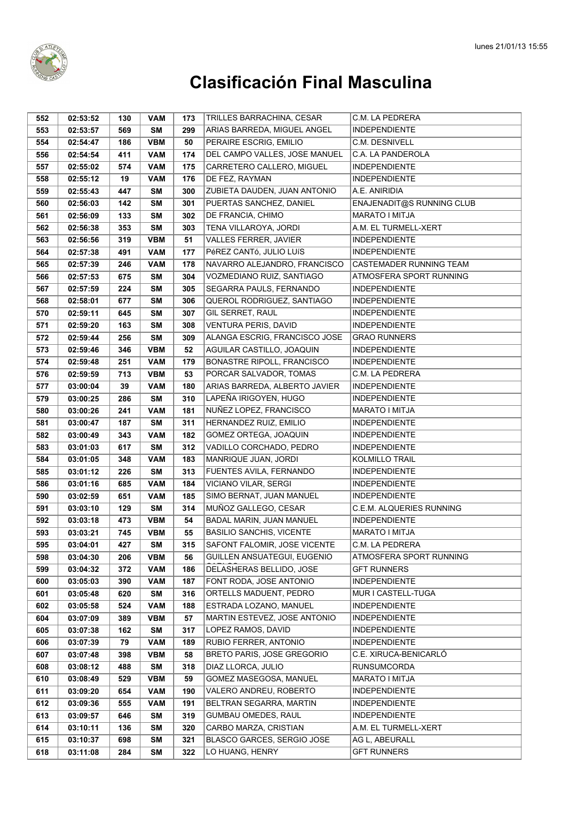

| 552 | 02:53:52 | 130 | <b>VAM</b> | 173 | TRILLES BARRACHINA, CESAR         | C.M. LA PEDRERA           |
|-----|----------|-----|------------|-----|-----------------------------------|---------------------------|
| 553 | 02:53:57 | 569 | <b>SM</b>  | 299 | ARIAS BARREDA, MIGUEL ANGEL       | <b>INDEPENDIENTE</b>      |
| 554 | 02:54:47 | 186 | <b>VBM</b> | 50  | PERAIRE ESCRIG, EMILIO            | C.M. DESNIVELL            |
| 556 | 02:54:54 | 411 | <b>VAM</b> | 174 | DEL CAMPO VALLES, JOSE MANUEL     | C.A. LA PANDEROLA         |
| 557 | 02:55:02 | 574 | <b>VAM</b> | 175 | CARRETERO CALLERO, MIGUEL         | <b>INDEPENDIENTE</b>      |
| 558 | 02:55:12 | 19  | <b>VAM</b> | 176 | DE FEZ, RAYMAN                    | <b>INDEPENDIENTE</b>      |
| 559 | 02:55:43 | 447 | <b>SM</b>  | 300 | ZUBIETA DAUDEN, JUAN ANTONIO      | A.E. ANIRIDIA             |
| 560 | 02:56:03 | 142 | <b>SM</b>  | 301 | PUERTAS SANCHEZ, DANIEL           | ENAJENADIT@S RUNNING CLUB |
| 561 | 02:56:09 | 133 | <b>SM</b>  | 302 | DE FRANCIA, CHIMO                 | <b>MARATO I MITJA</b>     |
| 562 | 02:56:38 | 353 | <b>SM</b>  | 303 | TENA VILLAROYA, JORDI             | A.M. EL TURMELL-XERT      |
| 563 | 02:56:56 | 319 | <b>VBM</b> | 51  | VALLES FERRER, JAVIER             | <b>INDEPENDIENTE</b>      |
| 564 | 02:57:38 | 491 | <b>VAM</b> | 177 | PéREZ CANTó, JULIO LUÍS           | <b>INDEPENDIENTE</b>      |
| 565 | 02:57:39 | 246 | <b>VAM</b> | 178 | NAVARRO ALEJANDRO, FRANCISCO      | CASTEMADER RUNNING TEAM   |
| 566 | 02:57:53 | 675 | SΜ         | 304 | VOZMEDIANO RUIZ, SANTIAGO         | ATMOSFERA SPORT RUNNING   |
| 567 | 02:57:59 | 224 | <b>SM</b>  | 305 | SEGARRA PAULS, FERNANDO           | <b>INDEPENDIENTE</b>      |
| 568 | 02:58:01 | 677 | <b>SM</b>  | 306 | QUEROL RODRIGUEZ, SANTIAGO        | <b>INDEPENDIENTE</b>      |
| 570 | 02:59:11 | 645 | <b>SM</b>  | 307 | GIL SERRET, RAUL                  | <b>INDEPENDIENTE</b>      |
| 571 | 02:59:20 | 163 | <b>SM</b>  | 308 | VENTURA PERIS, DAVID              | <b>INDEPENDIENTE</b>      |
| 572 | 02:59:44 | 256 | <b>SM</b>  | 309 | ALANGA ESCRIG, FRANCISCO JOSE     | <b>GRAO RUNNERS</b>       |
| 573 | 02:59:46 | 346 | <b>VBM</b> | 52  | AGUILAR CASTILLO, JOAQUIN         | <b>INDEPENDIENTE</b>      |
| 574 | 02:59:48 | 251 | <b>VAM</b> | 179 | BONASTRE RIPOLL, FRANCISCO        | <b>INDEPENDIENTE</b>      |
| 576 | 02:59:59 | 713 | <b>VBM</b> | 53  | PORCAR SALVADOR, TOMAS            | C.M. LA PEDRERA           |
| 577 | 03:00:04 | 39  | <b>VAM</b> | 180 | ARIAS BARREDA, ALBERTO JAVIER     | <b>INDEPENDIENTE</b>      |
| 579 | 03:00:25 | 286 | <b>SM</b>  | 310 | LAPEÑA IRIGOYEN, HUGO             | <b>INDEPENDIENTE</b>      |
| 580 | 03:00:26 | 241 | <b>VAM</b> | 181 | NUÑEZ LOPEZ, FRANCISCO            | MARATO I MITJA            |
| 581 | 03:00:47 | 187 | <b>SM</b>  | 311 | HERNANDEZ RUIZ, EMILIO            | <b>INDEPENDIENTE</b>      |
| 582 | 03:00:49 | 343 | <b>VAM</b> | 182 | GOMEZ ORTEGA, JOAQUIN             | <b>INDEPENDIENTE</b>      |
| 583 | 03:01:03 | 617 | <b>SM</b>  | 312 | VADILLO CORCHADO, PEDRO           | <b>INDEPENDIENTE</b>      |
| 584 | 03:01:05 | 348 | <b>VAM</b> | 183 | MANRIQUE JUAN, JORDI              | KOLMILLO TRAIL            |
| 585 | 03:01:12 | 226 | <b>SM</b>  | 313 | FUENTES AVILA, FERNANDO           | <b>INDEPENDIENTE</b>      |
| 586 | 03:01:16 | 685 | <b>VAM</b> | 184 | VICIANO VILAR, SERGI              | <b>INDEPENDIENTE</b>      |
| 590 | 03:02:59 | 651 | <b>VAM</b> | 185 | SIMO BERNAT, JUAN MANUEL          | <b>INDEPENDIENTE</b>      |
| 591 | 03:03:10 | 129 | SΜ         | 314 | MUÑOZ GALLEGO, CESAR              | C.E.M. ALQUERIES RUNNING  |
| 592 | 03:03:18 | 473 | <b>VBM</b> | 54  | BADAL MARIN, JUAN MANUEL          | <b>INDEPENDIENTE</b>      |
| 593 | 03:03:21 | 745 | <b>VBM</b> | 55  | <b>BASILIO SANCHIS, VICENTE</b>   | MARATO I MITJA            |
| 595 | 03:04:01 | 427 | <b>SM</b>  | 315 | SAFONT FALOMIR, JOSE VICENTE      | C.M. LA PEDRERA           |
| 598 | 03:04:30 | 206 | <b>VBM</b> | 56  | GUILLEN ANSUATEGUI, EUGENIO       | ATMOSFERA SPORT RUNNING   |
| 599 | 03:04:32 | 372 | <b>VAM</b> | 186 | DELASHERAS BELLIDO, JOSE          | GFT RUNNERS               |
| 600 | 03:05:03 | 390 | <b>VAM</b> | 187 | FONT RODA, JOSE ANTONIO           | <b>INDEPENDIENTE</b>      |
| 601 | 03:05:48 | 620 | <b>SM</b>  | 316 | ORTELLS MADUENT, PEDRO            | MUR I CASTELL-TUGA        |
| 602 | 03:05:58 | 524 | <b>VAM</b> | 188 | ESTRADA LOZANO, MANUEL            | <b>INDEPENDIENTE</b>      |
| 604 | 03:07:09 | 389 | <b>VBM</b> | 57  | MARTIN ESTEVEZ, JOSE ANTONIO      | <b>INDEPENDIENTE</b>      |
| 605 | 03:07:38 | 162 | <b>SM</b>  | 317 | LOPEZ RAMOS, DAVID                | <b>INDEPENDIENTE</b>      |
| 606 | 03:07:39 | 79  | <b>VAM</b> | 189 | RUBIO FERRER, ANTONIO             | <b>INDEPENDIENTE</b>      |
| 607 | 03:07:48 | 398 | <b>VBM</b> | 58  | <b>BRETO PARIS, JOSE GREGORIO</b> | C.E. XIRUCA-BENICARLÓ     |
| 608 | 03:08:12 | 488 | <b>SM</b>  | 318 | DIAZ LLORCA, JULIO                | <b>RUNSUMCORDA</b>        |
| 610 | 03:08:49 | 529 | <b>VBM</b> | 59  | GOMEZ MASEGOSA, MANUEL            | MARATO I MITJA            |
| 611 | 03:09:20 | 654 | <b>VAM</b> | 190 | VALERO ANDREU, ROBERTO            | <b>INDEPENDIENTE</b>      |
| 612 | 03:09:36 | 555 | <b>VAM</b> | 191 | BELTRAN SEGARRA, MARTIN           | <b>INDEPENDIENTE</b>      |
| 613 | 03:09:57 | 646 | SΜ         | 319 | GUMBAU OMEDES, RAUL               | <b>INDEPENDIENTE</b>      |
| 614 | 03:10:11 | 136 | SΜ         | 320 | CARBO MARZA, CRISTIAN             | A.M. EL TURMELL-XERT      |
| 615 | 03:10:37 | 698 | SΜ         | 321 | BLASCO GARCES, SERGIO JOSE        | AG L, ABEURALL            |
| 618 | 03:11:08 | 284 | <b>SM</b>  | 322 | LO HUANG, HENRY                   | <b>GFT RUNNERS</b>        |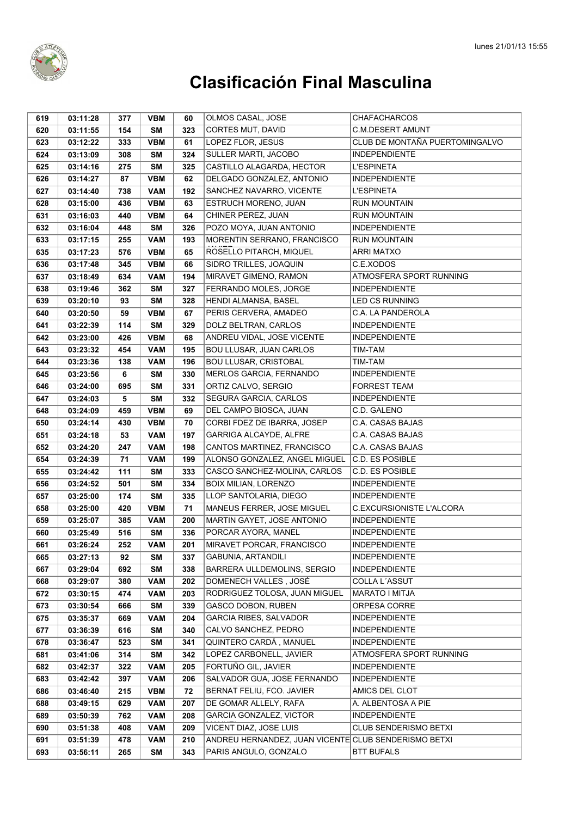

| 619 | 03:11:28 | 377 | <b>VBM</b> | 60  | OLMOS CASAL, JOSE                                    | <b>CHAFACHARCOS</b>            |
|-----|----------|-----|------------|-----|------------------------------------------------------|--------------------------------|
| 620 | 03:11:55 | 154 | <b>SM</b>  | 323 | CORTES MUT, DAVID                                    | <b>C.M.DESERT AMUNT</b>        |
| 623 | 03:12:22 | 333 | <b>VBM</b> | 61  | LOPEZ FLOR, JESUS                                    | CLUB DE MONTAÑA PUERTOMINGALVO |
| 624 | 03:13:09 | 308 | <b>SM</b>  | 324 | SULLER MARTI, JACOBO                                 | <b>INDEPENDIENTE</b>           |
| 625 | 03:14:16 | 275 | <b>SM</b>  | 325 | CASTILLO ALAGARDA, HECTOR                            | <b>L'ESPINETA</b>              |
| 626 | 03:14:27 | 87  | <b>VBM</b> | 62  | DELGADO GONZALEZ, ANTONIO                            | <b>INDEPENDIENTE</b>           |
| 627 | 03:14:40 | 738 | <b>VAM</b> | 192 | SANCHEZ NAVARRO, VICENTE                             | <b>L'ESPINETA</b>              |
| 628 | 03:15:00 | 436 | <b>VBM</b> | 63  | ESTRUCH MORENO, JUAN                                 | <b>RUN MOUNTAIN</b>            |
| 631 | 03:16:03 | 440 | <b>VBM</b> | 64  | CHINER PEREZ, JUAN                                   | <b>RUN MOUNTAIN</b>            |
| 632 | 03:16:04 | 448 | <b>SM</b>  | 326 | POZO MOYA, JUAN ANTONIO                              | <b>INDEPENDIENTE</b>           |
| 633 | 03:17:15 | 255 | <b>VAM</b> | 193 | MORENTIN SERRANO, FRANCISCO                          | RUN MOUNTAIN                   |
| 635 | 03:17:23 | 576 | <b>VBM</b> | 65  | ROSELLO PITARCH, MIQUEL                              | <b>ARRI MATXO</b>              |
| 636 | 03:17:48 | 345 | <b>VBM</b> | 66  | SIDRO TRILLES, JOAQUIN                               | C.E.XODOS                      |
| 637 | 03:18:49 | 634 | <b>VAM</b> | 194 | MIRAVET GIMENO, RAMON                                | ATMOSFERA SPORT RUNNING        |
| 638 | 03:19:46 | 362 | <b>SM</b>  | 327 | FERRANDO MOLES, JORGE                                | <b>INDEPENDIENTE</b>           |
| 639 | 03:20:10 | 93  | <b>SM</b>  | 328 | HENDI ALMANSA, BASEL                                 | <b>LED CS RUNNING</b>          |
| 640 | 03:20:50 | 59  | <b>VBM</b> | 67  | PERIS CERVERA, AMADEO                                | C.A. LA PANDEROLA              |
| 641 | 03:22:39 | 114 | SΜ         | 329 | DOLZ BELTRAN, CARLOS                                 | <b>INDEPENDIENTE</b>           |
| 642 | 03:23:00 | 426 | <b>VBM</b> | 68  | ANDREU VIDAL, JOSE VICENTE                           | <b>INDEPENDIENTE</b>           |
| 643 | 03:23:32 | 454 | <b>VAM</b> | 195 | <b>BOU LLUSAR, JUAN CARLOS</b>                       | TIM-TAM                        |
| 644 | 03:23:36 | 138 | <b>VAM</b> | 196 | <b>BOU LLUSAR, CRISTOBAL</b>                         | TIM-TAM                        |
| 645 | 03:23:56 | 6   | <b>SM</b>  | 330 | MERLOS GARCIA, FERNANDO                              | <b>INDEPENDIENTE</b>           |
| 646 | 03:24:00 | 695 | SΜ         | 331 | ORTIZ CALVO, SERGIO                                  | <b>FORREST TEAM</b>            |
| 647 | 03:24:03 | 5   | <b>SM</b>  | 332 | SEGURA GARCIA, CARLOS                                | <b>INDEPENDIENTE</b>           |
| 648 | 03:24:09 | 459 | <b>VBM</b> | 69  | DEL CAMPO BIOSCA, JUAN                               | C.D. GALENO                    |
| 650 | 03:24:14 | 430 | <b>VBM</b> | 70  | CORBI FDEZ DE IBARRA, JOSEP                          | C.A. CASAS BAJAS               |
| 651 | 03:24:18 | 53  | <b>VAM</b> | 197 | GARRIGA ALCAYDE, ALFRE                               | C.A. CASAS BAJAS               |
| 652 | 03:24:20 | 247 | <b>VAM</b> | 198 | CANTOS MARTINEZ, FRANCISCO                           | C.A. CASAS BAJAS               |
| 654 | 03:24:39 | 71  | <b>VAM</b> | 199 | ALONSO GONZALEZ, ANGEL MIGUEL                        | C.D. ES POSIBLE                |
| 655 | 03:24:42 | 111 | <b>SM</b>  | 333 | CASCO SANCHEZ-MOLINA, CARLOS                         | <b>C.D. ES POSIBLE</b>         |
| 656 | 03:24:52 | 501 | <b>SM</b>  | 334 | BOIX MILIAN, LORENZO                                 | <b>INDEPENDIENTE</b>           |
| 657 | 03:25:00 | 174 | <b>SM</b>  | 335 | LLOP SANTOLARIA, DIEGO                               | <b>INDEPENDIENTE</b>           |
| 658 | 03:25:00 | 420 | <b>VBM</b> | 71  | MANEUS FERRER, JOSE MIGUEL                           | C.EXCURSIONISTE L'ALCORA       |
| 659 | 03:25:07 | 385 | <b>VAM</b> | 200 | MARTIN GAYET, JOSE ANTONIO                           | <b>INDEPENDIENTE</b>           |
| 660 | 03:25:49 | 516 | <b>SM</b>  | 336 | PORCAR AYORA, MANEL                                  | <b>INDEPENDIENTE</b>           |
| 661 | 03:26:24 | 252 | <b>VAM</b> | 201 | MIRAVET PORCAR, FRANCISCO                            | <b>INDEPENDIENTE</b>           |
| 665 | 03:27:13 | 92  | SΜ         | 337 | <b>GABUNIA, ARTANDILI</b>                            | <b>INDEPENDIENTE</b>           |
| 667 | 03:29:04 | 692 | <b>SM</b>  | 338 | BARRERA ULLDEMOLINS, SERGIO                          | <b>INDEPENDIENTE</b>           |
| 668 | 03:29:07 | 380 | <b>VAM</b> | 202 | DOMENECH VALLES, JOSÉ                                | COLLA L'ASSUT                  |
| 672 | 03:30:15 | 474 | <b>VAM</b> | 203 | RODRIGUEZ TOLOSA, JUAN MIGUEL                        | MARATO I MITJA                 |
| 673 | 03:30:54 | 666 | <b>SM</b>  | 339 | <b>GASCO DOBON, RUBEN</b>                            | ORPESA CORRE                   |
| 675 | 03:35:37 | 669 | <b>VAM</b> | 204 | <b>GARCIA RIBES, SALVADOR</b>                        | INDEPENDIENTE                  |
| 677 | 03:36:39 | 616 | SΜ         | 340 | CALVO SANCHEZ, PEDRO                                 | <b>INDEPENDIENTE</b>           |
| 678 | 03:36:47 | 523 | <b>SM</b>  | 341 | QUINTERO CARDÁ, MANUEL                               | <b>INDEPENDIENTE</b>           |
| 681 | 03:41:06 | 314 | SΜ         | 342 | LOPEZ CARBONELL, JAVIER                              | ATMOSFERA SPORT RUNNING        |
| 682 | 03:42:37 | 322 | <b>VAM</b> | 205 | FORTUÑO GIL, JAVIER                                  | <b>INDEPENDIENTE</b>           |
| 683 | 03:42:42 | 397 | <b>VAM</b> | 206 | SALVADOR GUA, JOSE FERNANDO                          | <b>INDEPENDIENTE</b>           |
| 686 | 03:46:40 | 215 | <b>VBM</b> | 72  | BERNAT FELIU, FCO. JAVIER                            | AMICS DEL CLOT                 |
| 688 | 03:49:15 | 629 | <b>VAM</b> | 207 | DE GOMAR ALLELY, RAFA                                | A. ALBENTOSA A PIE             |
| 689 | 03:50:39 | 762 | <b>VAM</b> | 208 | <b>GARCIA GONZALEZ, VICTOR</b>                       | <b>INDEPENDIENTE</b>           |
| 690 | 03:51:38 | 408 | <b>VAM</b> | 209 | VICENT DIAZ, JOSE LUIS                               | CLUB SENDERISMO BETXI          |
| 691 | 03:51:39 | 478 | <b>VAM</b> | 210 | ANDREU HERNANDEZ, JUAN VICENTE CLUB SENDERISMO BETXI |                                |
| 693 | 03:56:11 | 265 | SM         | 343 | PARIS ANGULO, GONZALO                                | <b>BTT BUFALS</b>              |